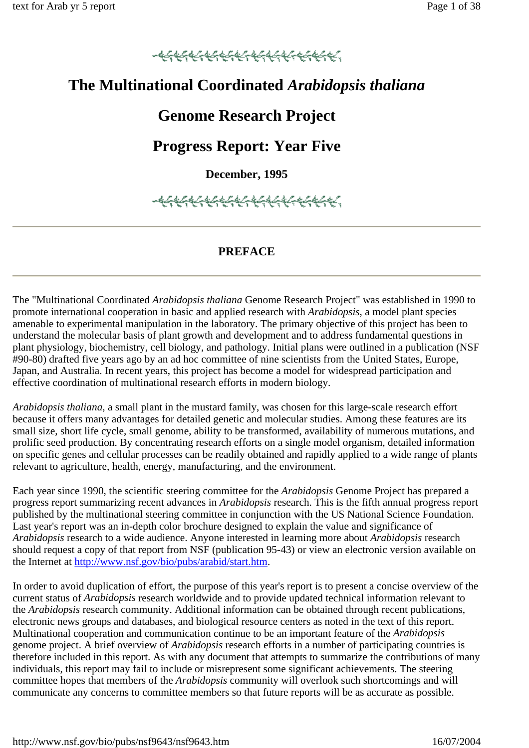# **The Multinational Coordinated** *Arabidopsis thaliana*

# **Genome Research Project**

# **Progress Report: Year Five**

# **December, 1995**

# **PREFACE**

The "Multinational Coordinated *Arabidopsis thaliana* Genome Research Project" was established in 1990 to promote international cooperation in basic and applied research with *Arabidopsis*, a model plant species amenable to experimental manipulation in the laboratory. The primary objective of this project has been to understand the molecular basis of plant growth and development and to address fundamental questions in plant physiology, biochemistry, cell biology, and pathology. Initial plans were outlined in a publication (NSF #90-80) drafted five years ago by an ad hoc committee of nine scientists from the United States, Europe, Japan, and Australia. In recent years, this project has become a model for widespread participation and effective coordination of multinational research efforts in modern biology.

*Arabidopsis thaliana*, a small plant in the mustard family, was chosen for this large-scale research effort because it offers many advantages for detailed genetic and molecular studies. Among these features are its small size, short life cycle, small genome, ability to be transformed, availability of numerous mutations, and prolific seed production. By concentrating research efforts on a single model organism, detailed information on specific genes and cellular processes can be readily obtained and rapidly applied to a wide range of plants relevant to agriculture, health, energy, manufacturing, and the environment.

Each year since 1990, the scientific steering committee for the *Arabidopsis* Genome Project has prepared a progress report summarizing recent advances in *Arabidopsis* research. This is the fifth annual progress report published by the multinational steering committee in conjunction with the US National Science Foundation. Last year's report was an in-depth color brochure designed to explain the value and significance of *Arabidopsis* research to a wide audience. Anyone interested in learning more about *Arabidopsis* research should request a copy of that report from NSF (publication 95-43) or view an electronic version available on the Internet at http://www.nsf.gov/bio/pubs/arabid/start.htm.

In order to avoid duplication of effort, the purpose of this year's report is to present a concise overview of the current status of *Arabidopsis* research worldwide and to provide updated technical information relevant to the *Arabidopsis* research community. Additional information can be obtained through recent publications, electronic news groups and databases, and biological resource centers as noted in the text of this report. Multinational cooperation and communication continue to be an important feature of the *Arabidopsis* genome project. A brief overview of *Arabidopsis* research efforts in a number of participating countries is therefore included in this report. As with any document that attempts to summarize the contributions of many individuals, this report may fail to include or misrepresent some significant achievements. The steering committee hopes that members of the *Arabidopsis* community will overlook such shortcomings and will communicate any concerns to committee members so that future reports will be as accurate as possible.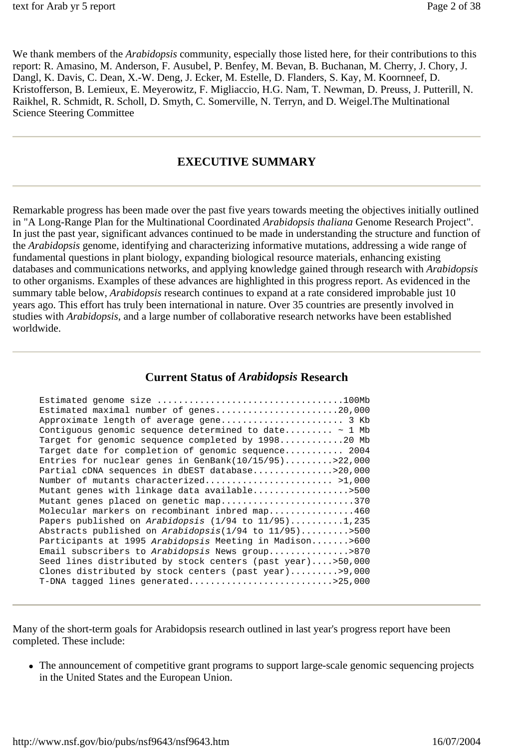We thank members of the *Arabidopsis* community, especially those listed here, for their contributions to this report: R. Amasino, M. Anderson, F. Ausubel, P. Benfey, M. Bevan, B. Buchanan, M. Cherry, J. Chory, J. Dangl, K. Davis, C. Dean, X.-W. Deng, J. Ecker, M. Estelle, D. Flanders, S. Kay, M. Koornneef, D. Kristofferson, B. Lemieux, E. Meyerowitz, F. Migliaccio, H.G. Nam, T. Newman, D. Preuss, J. Putterill, N. Raikhel, R. Schmidt, R. Scholl, D. Smyth, C. Somerville, N. Terryn, and D. Weigel.The Multinational Science Steering Committee

## **EXECUTIVE SUMMARY**

Remarkable progress has been made over the past five years towards meeting the objectives initially outlined in "A Long-Range Plan for the Multinational Coordinated *Arabidopsis thaliana* Genome Research Project". In just the past year, significant advances continued to be made in understanding the structure and function of the *Arabidopsis* genome, identifying and characterizing informative mutations, addressing a wide range of fundamental questions in plant biology, expanding biological resource materials, enhancing existing databases and communications networks, and applying knowledge gained through research with *Arabidopsis* to other organisms. Examples of these advances are highlighted in this progress report. As evidenced in the summary table below, *Arabidopsis* research continues to expand at a rate considered improbable just 10 years ago. This effort has truly been international in nature. Over 35 countries are presently involved in studies with *Arabidopsis*, and a large number of collaborative research networks have been established worldwide.

#### **Current Status of** *Arabidopsis* **Research**

Many of the short-term goals for Arabidopsis research outlined in last year's progress report have been completed. These include:

• The announcement of competitive grant programs to support large-scale genomic sequencing projects in the United States and the European Union.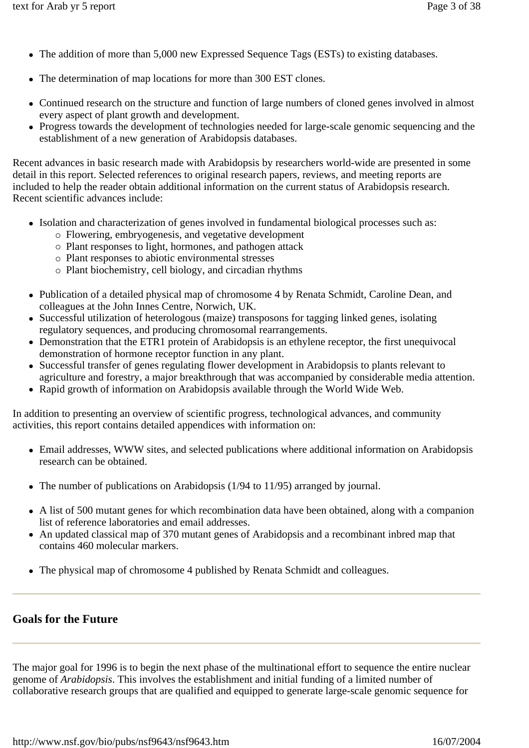- The addition of more than 5,000 new Expressed Sequence Tags (ESTs) to existing databases.
- The determination of map locations for more than 300 EST clones.
- Continued research on the structure and function of large numbers of cloned genes involved in almost every aspect of plant growth and development.
- Progress towards the development of technologies needed for large-scale genomic sequencing and the establishment of a new generation of Arabidopsis databases.

Recent advances in basic research made with Arabidopsis by researchers world-wide are presented in some detail in this report. Selected references to original research papers, reviews, and meeting reports are included to help the reader obtain additional information on the current status of Arabidopsis research. Recent scientific advances include:

- Isolation and characterization of genes involved in fundamental biological processes such as:
	- $\circ$  Flowering, embryogenesis, and vegetative development
	- { Plant responses to light, hormones, and pathogen attack
	- { Plant responses to abiotic environmental stresses
	- { Plant biochemistry, cell biology, and circadian rhythms
- Publication of a detailed physical map of chromosome 4 by Renata Schmidt, Caroline Dean, and colleagues at the John Innes Centre, Norwich, UK.
- Successful utilization of heterologous (maize) transposons for tagging linked genes, isolating regulatory sequences, and producing chromosomal rearrangements.
- Demonstration that the ETR1 protein of Arabidopsis is an ethylene receptor, the first unequivocal demonstration of hormone receptor function in any plant.
- Successful transfer of genes regulating flower development in Arabidopsis to plants relevant to agriculture and forestry, a major breakthrough that was accompanied by considerable media attention.
- Rapid growth of information on Arabidopsis available through the World Wide Web.

In addition to presenting an overview of scientific progress, technological advances, and community activities, this report contains detailed appendices with information on:

- Email addresses, WWW sites, and selected publications where additional information on Arabidopsis research can be obtained.
- The number of publications on Arabidopsis ( $1/94$  to  $11/95$ ) arranged by journal.
- A list of 500 mutant genes for which recombination data have been obtained, along with a companion list of reference laboratories and email addresses.
- An updated classical map of 370 mutant genes of Arabidopsis and a recombinant inbred map that contains 460 molecular markers.
- The physical map of chromosome 4 published by Renata Schmidt and colleagues.

# **Goals for the Future**

The major goal for 1996 is to begin the next phase of the multinational effort to sequence the entire nuclear genome of *Arabidopsis*. This involves the establishment and initial funding of a limited number of collaborative research groups that are qualified and equipped to generate large-scale genomic sequence for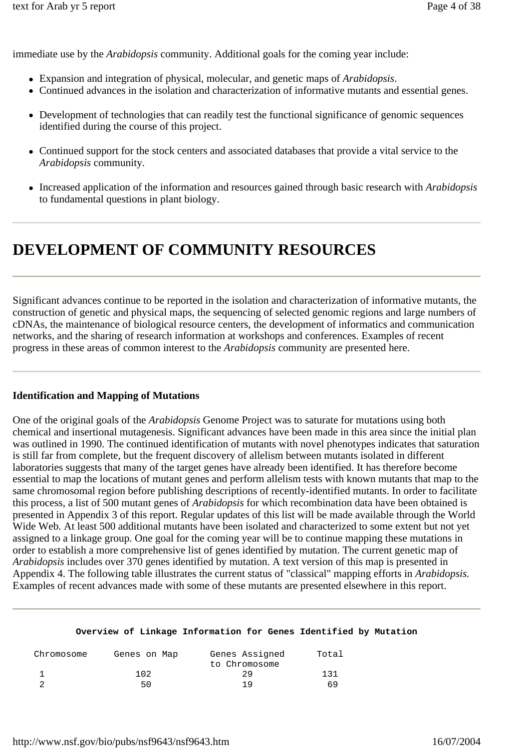immediate use by the *Arabidopsis* community. Additional goals for the coming year include:

- Expansion and integration of physical, molecular, and genetic maps of *Arabidopsis*.
- Continued advances in the isolation and characterization of informative mutants and essential genes.
- Development of technologies that can readily test the functional significance of genomic sequences identified during the course of this project.
- Continued support for the stock centers and associated databases that provide a vital service to the *Arabidopsis* community.
- Increased application of the information and resources gained through basic research with *Arabidopsis* to fundamental questions in plant biology.

# **DEVELOPMENT OF COMMUNITY RESOURCES**

Significant advances continue to be reported in the isolation and characterization of informative mutants, the construction of genetic and physical maps, the sequencing of selected genomic regions and large numbers of cDNAs, the maintenance of biological resource centers, the development of informatics and communication networks, and the sharing of research information at workshops and conferences. Examples of recent progress in these areas of common interest to the *Arabidopsis* community are presented here.

#### **Identification and Mapping of Mutations**

One of the original goals of the *Arabidopsis* Genome Project was to saturate for mutations using both chemical and insertional mutagenesis. Significant advances have been made in this area since the initial plan was outlined in 1990. The continued identification of mutants with novel phenotypes indicates that saturation is still far from complete, but the frequent discovery of allelism between mutants isolated in different laboratories suggests that many of the target genes have already been identified. It has therefore become essential to map the locations of mutant genes and perform allelism tests with known mutants that map to the same chromosomal region before publishing descriptions of recently-identified mutants. In order to facilitate this process, a list of 500 mutant genes of *Arabidopsis* for which recombination data have been obtained is presented in Appendix 3 of this report. Regular updates of this list will be made available through the World Wide Web. At least 500 additional mutants have been isolated and characterized to some extent but not yet assigned to a linkage group. One goal for the coming year will be to continue mapping these mutations in order to establish a more comprehensive list of genes identified by mutation. The current genetic map of *Arabidopsis* includes over 370 genes identified by mutation. A text version of this map is presented in Appendix 4. The following table illustrates the current status of "classical" mapping efforts in *Arabidopsis.*  Examples of recent advances made with some of these mutants are presented elsewhere in this report.

#### **Overview of Linkage Information for Genes Identified by Mutation**

| Chromosome | Genes Assigned<br>Genes on Map |               | Total |  |
|------------|--------------------------------|---------------|-------|--|
|            |                                | to Chromosome |       |  |
|            | 102                            | 29            | 131   |  |
|            | 50                             | 1 Q           | 69    |  |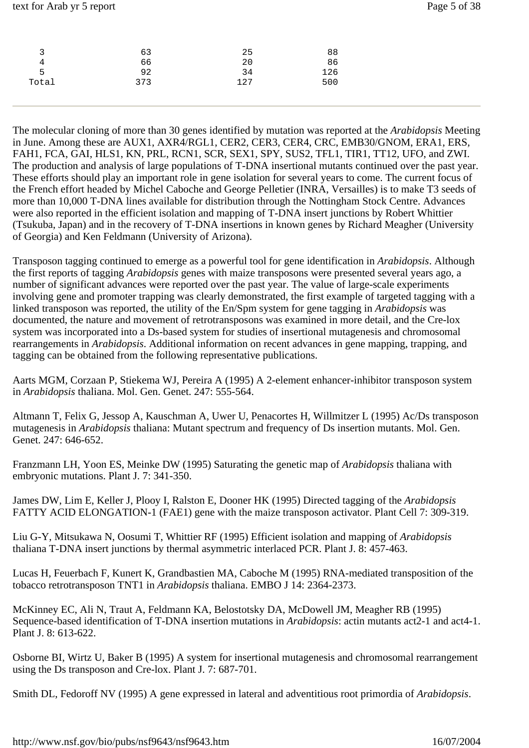| 3     | 63  | 25  | 88  |
|-------|-----|-----|-----|
| 4     | 66  | 20  | 86  |
| 5     | 92  | 34  | 126 |
| Total | 373 | 127 | 500 |
|       |     |     |     |

The molecular cloning of more than 30 genes identified by mutation was reported at the *Arabidopsis* Meeting in June. Among these are AUX1, AXR4/RGL1, CER2, CER3, CER4, CRC, EMB30/GNOM, ERA1, ERS, FAH1, FCA, GAI, HLS1, KN, PRL, RCN1, SCR, SEX1, SPY, SUS2, TFL1, TIR1, TT12, UFO, and ZWI. The production and analysis of large populations of T-DNA insertional mutants continued over the past year. These efforts should play an important role in gene isolation for several years to come. The current focus of the French effort headed by Michel Caboche and George Pelletier (INRA, Versailles) is to make T3 seeds of more than 10,000 T-DNA lines available for distribution through the Nottingham Stock Centre. Advances were also reported in the efficient isolation and mapping of T-DNA insert junctions by Robert Whittier (Tsukuba, Japan) and in the recovery of T-DNA insertions in known genes by Richard Meagher (University of Georgia) and Ken Feldmann (University of Arizona).

Transposon tagging continued to emerge as a powerful tool for gene identification in *Arabidopsis*. Although the first reports of tagging *Arabidopsis* genes with maize transposons were presented several years ago, a number of significant advances were reported over the past year. The value of large-scale experiments involving gene and promoter trapping was clearly demonstrated, the first example of targeted tagging with a linked transposon was reported, the utility of the En/Spm system for gene tagging in *Arabidopsis* was documented, the nature and movement of retrotransposons was examined in more detail, and the Cre-lox system was incorporated into a Ds-based system for studies of insertional mutagenesis and chromosomal rearrangements in *Arabidopsis*. Additional information on recent advances in gene mapping, trapping, and tagging can be obtained from the following representative publications.

Aarts MGM, Corzaan P, Stiekema WJ, Pereira A (1995) A 2-element enhancer-inhibitor transposon system in *Arabidopsis* thaliana. Mol. Gen. Genet. 247: 555-564.

Altmann T, Felix G, Jessop A, Kauschman A, Uwer U, Penacortes H, Willmitzer L (1995) Ac/Ds transposon mutagenesis in *Arabidopsis* thaliana: Mutant spectrum and frequency of Ds insertion mutants. Mol. Gen. Genet. 247: 646-652.

Franzmann LH, Yoon ES, Meinke DW (1995) Saturating the genetic map of *Arabidopsis* thaliana with embryonic mutations. Plant J. 7: 341-350.

James DW, Lim E, Keller J, Plooy I, Ralston E, Dooner HK (1995) Directed tagging of the *Arabidopsis* FATTY ACID ELONGATION-1 (FAE1) gene with the maize transposon activator. Plant Cell 7: 309-319.

Liu G-Y, Mitsukawa N, Oosumi T, Whittier RF (1995) Efficient isolation and mapping of *Arabidopsis* thaliana T-DNA insert junctions by thermal asymmetric interlaced PCR. Plant J. 8: 457-463.

Lucas H, Feuerbach F, Kunert K, Grandbastien MA, Caboche M (1995) RNA-mediated transposition of the tobacco retrotransposon TNT1 in *Arabidopsis* thaliana. EMBO J 14: 2364-2373.

McKinney EC, Ali N, Traut A, Feldmann KA, Belostotsky DA, McDowell JM, Meagher RB (1995) Sequence-based identification of T-DNA insertion mutations in *Arabidopsis*: actin mutants act2-1 and act4-1. Plant J. 8: 613-622.

Osborne BI, Wirtz U, Baker B (1995) A system for insertional mutagenesis and chromosomal rearrangement using the Ds transposon and Cre-lox. Plant J. 7: 687-701.

Smith DL, Fedoroff NV (1995) A gene expressed in lateral and adventitious root primordia of *Arabidopsis*.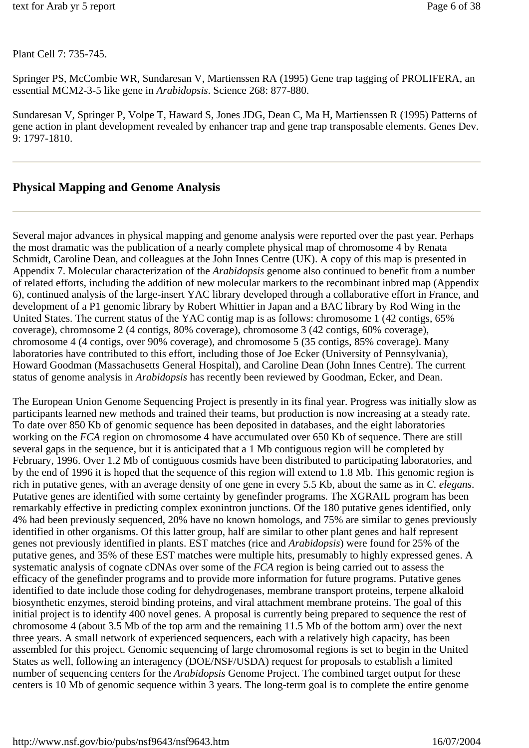Plant Cell 7: 735-745.

Springer PS, McCombie WR, Sundaresan V, Martienssen RA (1995) Gene trap tagging of PROLIFERA, an essential MCM2-3-5 like gene in *Arabidopsis*. Science 268: 877-880.

Sundaresan V, Springer P, Volpe T, Haward S, Jones JDG, Dean C, Ma H, Martienssen R (1995) Patterns of gene action in plant development revealed by enhancer trap and gene trap transposable elements. Genes Dev. 9: 1797-1810.

# **Physical Mapping and Genome Analysis**

Several major advances in physical mapping and genome analysis were reported over the past year. Perhaps the most dramatic was the publication of a nearly complete physical map of chromosome 4 by Renata Schmidt, Caroline Dean, and colleagues at the John Innes Centre (UK). A copy of this map is presented in Appendix 7. Molecular characterization of the *Arabidopsis* genome also continued to benefit from a number of related efforts, including the addition of new molecular markers to the recombinant inbred map (Appendix 6), continued analysis of the large-insert YAC library developed through a collaborative effort in France, and development of a P1 genomic library by Robert Whittier in Japan and a BAC library by Rod Wing in the United States. The current status of the YAC contig map is as follows: chromosome 1 (42 contigs, 65% coverage), chromosome 2 (4 contigs, 80% coverage), chromosome 3 (42 contigs, 60% coverage), chromosome 4 (4 contigs, over 90% coverage), and chromosome 5 (35 contigs, 85% coverage). Many laboratories have contributed to this effort, including those of Joe Ecker (University of Pennsylvania), Howard Goodman (Massachusetts General Hospital), and Caroline Dean (John Innes Centre). The current status of genome analysis in *Arabidopsis* has recently been reviewed by Goodman, Ecker, and Dean.

The European Union Genome Sequencing Project is presently in its final year. Progress was initially slow as participants learned new methods and trained their teams, but production is now increasing at a steady rate. To date over 850 Kb of genomic sequence has been deposited in databases, and the eight laboratories working on the *FCA* region on chromosome 4 have accumulated over 650 Kb of sequence. There are still several gaps in the sequence, but it is anticipated that a 1 Mb contiguous region will be completed by February, 1996. Over 1.2 Mb of contiguous cosmids have been distributed to participating laboratories, and by the end of 1996 it is hoped that the sequence of this region will extend to 1.8 Mb. This genomic region is rich in putative genes, with an average density of one gene in every 5.5 Kb, about the same as in *C. elegans*. Putative genes are identified with some certainty by genefinder programs. The XGRAIL program has been remarkably effective in predicting complex exonintron junctions. Of the 180 putative genes identified, only 4% had been previously sequenced, 20% have no known homologs, and 75% are similar to genes previously identified in other organisms. Of this latter group, half are similar to other plant genes and half represent genes not previously identified in plants. EST matches (rice and *Arabidopsis*) were found for 25% of the putative genes, and 35% of these EST matches were multiple hits, presumably to highly expressed genes. A systematic analysis of cognate cDNAs over some of the *FCA* region is being carried out to assess the efficacy of the genefinder programs and to provide more information for future programs. Putative genes identified to date include those coding for dehydrogenases, membrane transport proteins, terpene alkaloid biosynthetic enzymes, steroid binding proteins, and viral attachment membrane proteins. The goal of this initial project is to identify 400 novel genes. A proposal is currently being prepared to sequence the rest of chromosome 4 (about 3.5 Mb of the top arm and the remaining 11.5 Mb of the bottom arm) over the next three years. A small network of experienced sequencers, each with a relatively high capacity, has been assembled for this project. Genomic sequencing of large chromosomal regions is set to begin in the United States as well, following an interagency (DOE/NSF/USDA) request for proposals to establish a limited number of sequencing centers for the *Arabidopsis* Genome Project. The combined target output for these centers is 10 Mb of genomic sequence within 3 years. The long-term goal is to complete the entire genome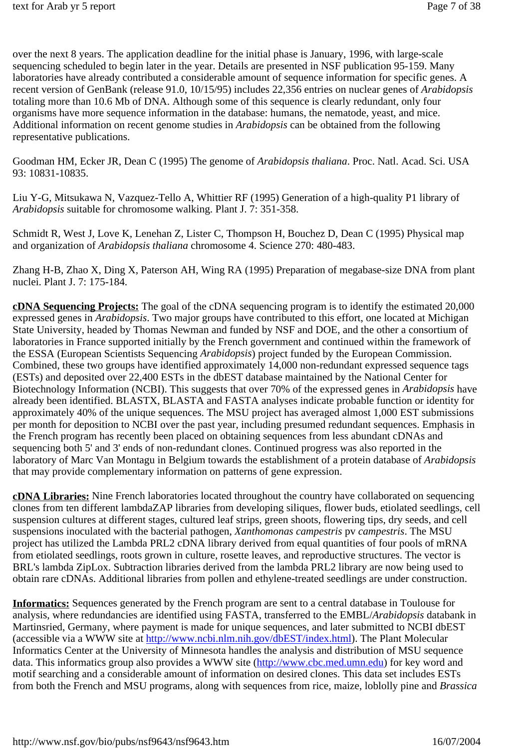over the next 8 years. The application deadline for the initial phase is January, 1996, with large-scale sequencing scheduled to begin later in the year. Details are presented in NSF publication 95-159. Many laboratories have already contributed a considerable amount of sequence information for specific genes. A recent version of GenBank (release 91.0, 10/15/95) includes 22,356 entries on nuclear genes of *Arabidopsis* totaling more than 10.6 Mb of DNA. Although some of this sequence is clearly redundant, only four organisms have more sequence information in the database: humans, the nematode, yeast, and mice. Additional information on recent genome studies in *Arabidopsis* can be obtained from the following representative publications.

Goodman HM, Ecker JR, Dean C (1995) The genome of *Arabidopsis thaliana*. Proc. Natl. Acad. Sci. USA 93: 10831-10835.

Liu Y-G, Mitsukawa N, Vazquez-Tello A, Whittier RF (1995) Generation of a high-quality P1 library of *Arabidopsis* suitable for chromosome walking. Plant J. 7: 351-358.

Schmidt R, West J, Love K, Lenehan Z, Lister C, Thompson H, Bouchez D, Dean C (1995) Physical map and organization of *Arabidopsis thaliana* chromosome 4. Science 270: 480-483.

Zhang H-B, Zhao X, Ding X, Paterson AH, Wing RA (1995) Preparation of megabase-size DNA from plant nuclei. Plant J. 7: 175-184.

**cDNA Sequencing Projects:** The goal of the cDNA sequencing program is to identify the estimated 20,000 expressed genes in *Arabidopsis*. Two major groups have contributed to this effort, one located at Michigan State University, headed by Thomas Newman and funded by NSF and DOE, and the other a consortium of laboratories in France supported initially by the French government and continued within the framework of the ESSA (European Scientists Sequencing *Arabidopsis*) project funded by the European Commission. Combined, these two groups have identified approximately 14,000 non-redundant expressed sequence tags (ESTs) and deposited over 22,400 ESTs in the dbEST database maintained by the National Center for Biotechnology Information (NCBI). This suggests that over 70% of the expressed genes in *Arabidopsis* have already been identified. BLASTX, BLASTA and FASTA analyses indicate probable function or identity for approximately 40% of the unique sequences. The MSU project has averaged almost 1,000 EST submissions per month for deposition to NCBI over the past year, including presumed redundant sequences. Emphasis in the French program has recently been placed on obtaining sequences from less abundant cDNAs and sequencing both 5' and 3' ends of non-redundant clones. Continued progress was also reported in the laboratory of Marc Van Montagu in Belgium towards the establishment of a protein database of *Arabidopsis*  that may provide complementary information on patterns of gene expression.

**cDNA Libraries:** Nine French laboratories located throughout the country have collaborated on sequencing clones from ten different lambdaZAP libraries from developing siliques, flower buds, etiolated seedlings, cell suspension cultures at different stages, cultured leaf strips, green shoots, flowering tips, dry seeds, and cell suspensions inoculated with the bacterial pathogen, *Xanthomonas campestris* pv *campestris*. The MSU project has utilized the Lambda PRL2 cDNA library derived from equal quantities of four pools of mRNA from etiolated seedlings, roots grown in culture, rosette leaves, and reproductive structures. The vector is BRL's lambda ZipLox. Subtraction libraries derived from the lambda PRL2 library are now being used to obtain rare cDNAs. Additional libraries from pollen and ethylene-treated seedlings are under construction.

**Informatics:** Sequences generated by the French program are sent to a central database in Toulouse for analysis, where redundancies are identified using FASTA, transferred to the EMBL/*Arabidopsis* databank in Martinsried, Germany, where payment is made for unique sequences, and later submitted to NCBI dbEST (accessible via a WWW site at http://www.ncbi.nlm.nih.gov/dbEST/index.html). The Plant Molecular Informatics Center at the University of Minnesota handles the analysis and distribution of MSU sequence data. This informatics group also provides a WWW site (http://www.cbc.med.umn.edu) for key word and motif searching and a considerable amount of information on desired clones. This data set includes ESTs from both the French and MSU programs, along with sequences from rice, maize, loblolly pine and *Brassica*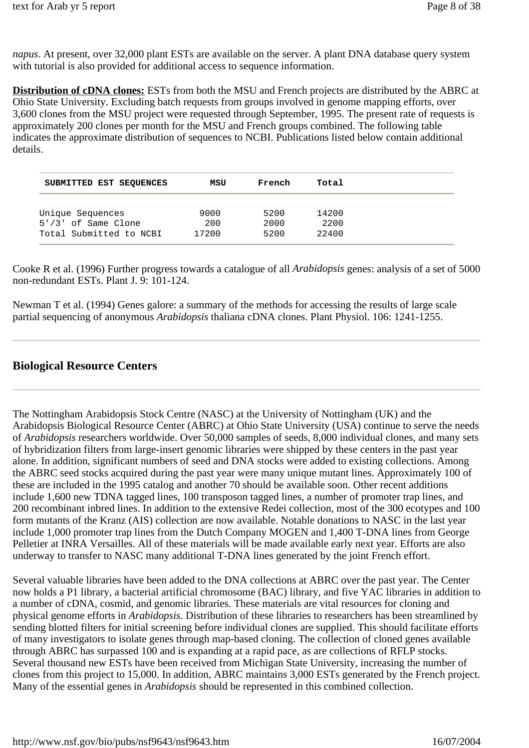*napus*. At present, over 32,000 plant ESTs are available on the server. A plant DNA database query system with tutorial is also provided for additional access to sequence information.

**Distribution of cDNA clones:** ESTs from both the MSU and French projects are distributed by the ABRC at Ohio State University. Excluding batch requests from groups involved in genome mapping efforts, over 3,600 clones from the MSU project were requested through September, 1995. The present rate of requests is approximately 200 clones per month for the MSU and French groups combined. The following table indicates the approximate distribution of sequences to NCBI. Publications listed below contain additional details.

| SUBMITTED EST SEQUENCES | MSU   | French | Total |  |
|-------------------------|-------|--------|-------|--|
| Unique Sequences        | 9000  | 5200   | 14200 |  |
| $5'/3'$ of Same Clone   | 200   | 2000   | 2200  |  |
| Total Submitted to NCBI | 17200 | 5200   | 22400 |  |

Cooke R et al. (1996) Further progress towards a catalogue of all *Arabidopsis* genes: analysis of a set of 5000 non-redundant ESTs. Plant J. 9: 101-124.

Newman T et al. (1994) Genes galore: a summary of the methods for accessing the results of large scale partial sequencing of anonymous *Arabidopsis* thaliana cDNA clones. Plant Physiol. 106: 1241-1255.

# **Biological Resource Centers**

The Nottingham Arabidopsis Stock Centre (NASC) at the University of Nottingham (UK) and the Arabidopsis Biological Resource Center (ABRC) at Ohio State University (USA) continue to serve the needs of *Arabidopsis* researchers worldwide. Over 50,000 samples of seeds, 8,000 individual clones, and many sets of hybridization filters from large-insert genomic libraries were shipped by these centers in the past year alone. In addition, significant numbers of seed and DNA stocks were added to existing collections. Among the ABRC seed stocks acquired during the past year were many unique mutant lines. Approximately 100 of these are included in the 1995 catalog and another 70 should be available soon. Other recent additions include 1,600 new TDNA tagged lines, 100 transposon tagged lines, a number of promoter trap lines, and 200 recombinant inbred lines. In addition to the extensive Redei collection, most of the 300 ecotypes and 100 form mutants of the Kranz (AIS) collection are now available. Notable donations to NASC in the last year include 1,000 promoter trap lines from the Dutch Company MOGEN and 1,400 T-DNA lines from George Pelletier at INRA Versailles. All of these materials will be made available early next year. Efforts are also underway to transfer to NASC many additional T-DNA lines generated by the joint French effort.

Several valuable libraries have been added to the DNA collections at ABRC over the past year. The Center now holds a P1 library, a bacterial artificial chromosome (BAC) library, and five YAC libraries in addition to a number of cDNA, cosmid, and genomic libraries. These materials are vital resources for cloning and physical genome efforts in *Arabidopsis*. Distribution of these libraries to researchers has been streamlined by sending blotted filters for initial screening before individual clones are supplied. This should facilitate efforts of many investigators to isolate genes through map-based cloning. The collection of cloned genes available through ABRC has surpassed 100 and is expanding at a rapid pace, as are collections of RFLP stocks. Several thousand new ESTs have been received from Michigan State University, increasing the number of clones from this project to 15,000. In addition, ABRC maintains 3,000 ESTs generated by the French project. Many of the essential genes in *Arabidopsis* should be represented in this combined collection.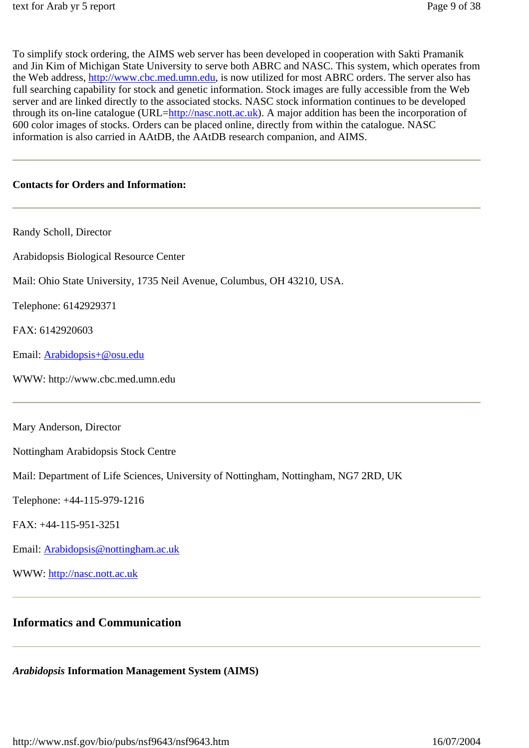To simplify stock ordering, the AIMS web server has been developed in cooperation with Sakti Pramanik and Jin Kim of Michigan State University to serve both ABRC and NASC. This system, which operates from the Web address, http://www.cbc.med.umn.edu, is now utilized for most ABRC orders. The server also has full searching capability for stock and genetic information. Stock images are fully accessible from the Web server and are linked directly to the associated stocks. NASC stock information continues to be developed through its on-line catalogue (URL=http://nasc.nott.ac.uk). A major addition has been the incorporation of 600 color images of stocks. Orders can be placed online, directly from within the catalogue. NASC information is also carried in AAtDB, the AAtDB research companion, and AIMS.

#### **Contacts for Orders and Information:**

| Randy Scholl, Director                                                               |  |  |
|--------------------------------------------------------------------------------------|--|--|
| Arabidopsis Biological Resource Center                                               |  |  |
| Mail: Ohio State University, 1735 Neil Avenue, Columbus, OH 43210, USA.              |  |  |
| Telephone: 6142929371                                                                |  |  |
| FAX: 6142920603                                                                      |  |  |
| Email: Arabidopsis+@osu.edu                                                          |  |  |
| WWW: http://www.cbc.med.umn.edu                                                      |  |  |
|                                                                                      |  |  |
|                                                                                      |  |  |
| Mary Anderson, Director                                                              |  |  |
| Nottingham Arabidopsis Stock Centre                                                  |  |  |
| Mail: Department of Life Sciences, University of Nottingham, Nottingham, NG7 2RD, UK |  |  |
| Telephone: +44-115-979-1216                                                          |  |  |
| FAX: +44-115-951-3251                                                                |  |  |
| Email: Arabidopsis@nottingham.ac.uk                                                  |  |  |

# **Informatics and Communication**

*Arabidopsis* **Information Management System (AIMS)**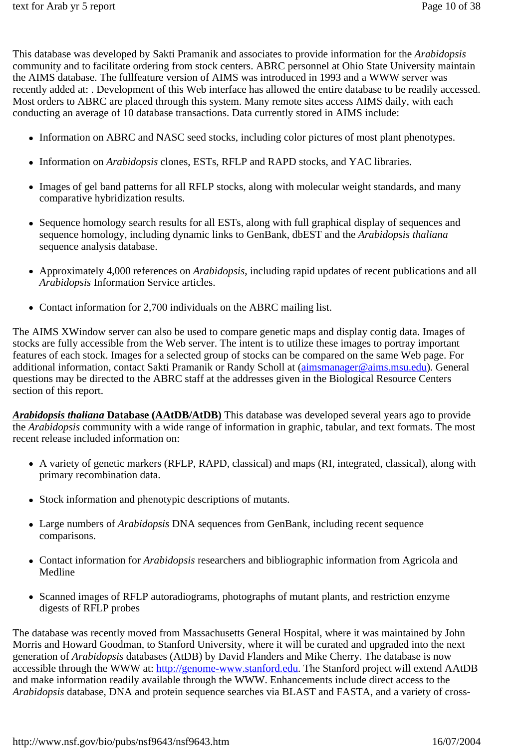This database was developed by Sakti Pramanik and associates to provide information for the *Arabidopsis* community and to facilitate ordering from stock centers. ABRC personnel at Ohio State University maintain the AIMS database. The fullfeature version of AIMS was introduced in 1993 and a WWW server was recently added at: . Development of this Web interface has allowed the entire database to be readily accessed. Most orders to ABRC are placed through this system. Many remote sites access AIMS daily, with each conducting an average of 10 database transactions. Data currently stored in AIMS include:

- Information on ABRC and NASC seed stocks, including color pictures of most plant phenotypes.
- Information on *Arabidopsis* clones, ESTs, RFLP and RAPD stocks, and YAC libraries.
- Images of gel band patterns for all RFLP stocks, along with molecular weight standards, and many comparative hybridization results.
- Sequence homology search results for all ESTs, along with full graphical display of sequences and sequence homology, including dynamic links to GenBank, dbEST and the *Arabidopsis thaliana* sequence analysis database.
- Approximately 4,000 references on *Arabidopsis*, including rapid updates of recent publications and all *Arabidopsis* Information Service articles.
- Contact information for 2.700 individuals on the ABRC mailing list.

The AIMS XWindow server can also be used to compare genetic maps and display contig data. Images of stocks are fully accessible from the Web server. The intent is to utilize these images to portray important features of each stock. Images for a selected group of stocks can be compared on the same Web page. For additional information, contact Sakti Pramanik or Randy Scholl at (aimsmanager@aims.msu.edu). General questions may be directed to the ABRC staff at the addresses given in the Biological Resource Centers section of this report.

*Arabidopsis thaliana* **Database (AAtDB/AtDB)** This database was developed several years ago to provide the *Arabidopsis* community with a wide range of information in graphic, tabular, and text formats. The most recent release included information on:

- A variety of genetic markers (RFLP, RAPD, classical) and maps (RI, integrated, classical), along with primary recombination data.
- Stock information and phenotypic descriptions of mutants.
- Large numbers of *Arabidopsis* DNA sequences from GenBank, including recent sequence comparisons.
- Contact information for *Arabidopsis* researchers and bibliographic information from Agricola and Medline
- Scanned images of RFLP autoradiograms, photographs of mutant plants, and restriction enzyme digests of RFLP probes

The database was recently moved from Massachusetts General Hospital, where it was maintained by John Morris and Howard Goodman, to Stanford University, where it will be curated and upgraded into the next generation of *Arabidopsis* databases (AtDB) by David Flanders and Mike Cherry. The database is now accessible through the WWW at: http://genome-www.stanford.edu. The Stanford project will extend AAtDB and make information readily available through the WWW. Enhancements include direct access to the *Arabidopsis* database, DNA and protein sequence searches via BLAST and FASTA, and a variety of cross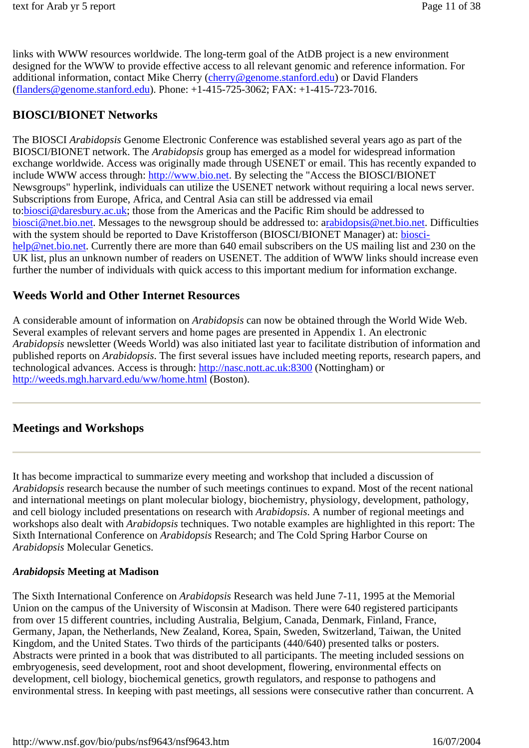links with WWW resources worldwide. The long-term goal of the AtDB project is a new environment designed for the WWW to provide effective access to all relevant genomic and reference information. For additional information, contact Mike Cherry (cherry@genome.stanford.edu) or David Flanders (flanders@genome.stanford.edu). Phone: +1-415-725-3062; FAX: +1-415-723-7016.

# **BIOSCI/BIONET Networks**

The BIOSCI *Arabidopsis* Genome Electronic Conference was established several years ago as part of the BIOSCI/BIONET network. The *Arabidopsis* group has emerged as a model for widespread information exchange worldwide. Access was originally made through USENET or email. This has recently expanded to include WWW access through: http://www.bio.net. By selecting the "Access the BIOSCI/BIONET Newsgroups" hyperlink, individuals can utilize the USENET network without requiring a local news server. Subscriptions from Europe, Africa, and Central Asia can still be addressed via email to:biosci@daresbury.ac.uk; those from the Americas and the Pacific Rim should be addressed to biosci@net.bio.net. Messages to the newsgroup should be addressed to: arabidopsis@net.bio.net. Difficulties with the system should be reported to Dave Kristofferson (BIOSCI/BIONET Manager) at: bioscihelp@net.bio.net. Currently there are more than 640 email subscribers on the US mailing list and 230 on the UK list, plus an unknown number of readers on USENET. The addition of WWW links should increase even further the number of individuals with quick access to this important medium for information exchange.

## **Weeds World and Other Internet Resources**

A considerable amount of information on *Arabidopsis* can now be obtained through the World Wide Web. Several examples of relevant servers and home pages are presented in Appendix 1. An electronic *Arabidopsis* newsletter (Weeds World) was also initiated last year to facilitate distribution of information and published reports on *Arabidopsis*. The first several issues have included meeting reports, research papers, and technological advances. Access is through: http://nasc.nott.ac.uk:8300 (Nottingham) or http://weeds.mgh.harvard.edu/ww/home.html (Boston).

## **Meetings and Workshops**

It has become impractical to summarize every meeting and workshop that included a discussion of *Arabidopsis* research because the number of such meetings continues to expand. Most of the recent national and international meetings on plant molecular biology, biochemistry, physiology, development, pathology, and cell biology included presentations on research with *Arabidopsis*. A number of regional meetings and workshops also dealt with *Arabidopsis* techniques. Two notable examples are highlighted in this report: The Sixth International Conference on *Arabidopsis* Research; and The Cold Spring Harbor Course on *Arabidopsis* Molecular Genetics.

#### *Arabidopsis* **Meeting at Madison**

The Sixth International Conference on *Arabidopsis* Research was held June 7-11, 1995 at the Memorial Union on the campus of the University of Wisconsin at Madison. There were 640 registered participants from over 15 different countries, including Australia, Belgium, Canada, Denmark, Finland, France, Germany, Japan, the Netherlands, New Zealand, Korea, Spain, Sweden, Switzerland, Taiwan, the United Kingdom, and the United States. Two thirds of the participants (440/640) presented talks or posters. Abstracts were printed in a book that was distributed to all participants. The meeting included sessions on embryogenesis, seed development, root and shoot development, flowering, environmental effects on development, cell biology, biochemical genetics, growth regulators, and response to pathogens and environmental stress. In keeping with past meetings, all sessions were consecutive rather than concurrent. A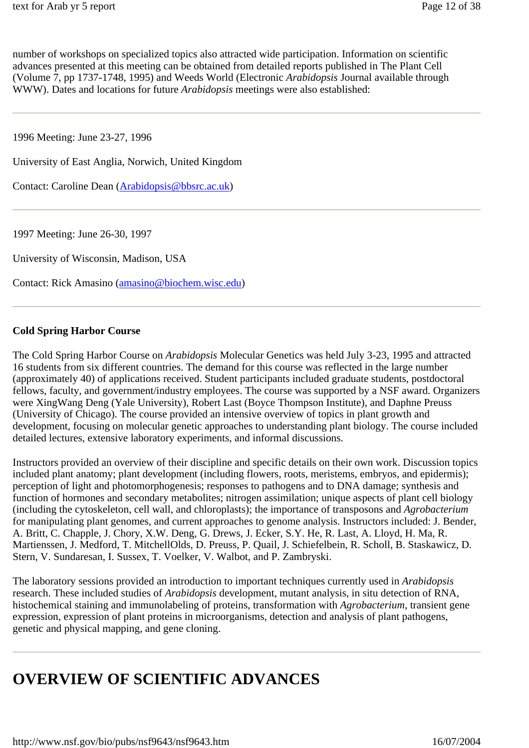number of workshops on specialized topics also attracted wide participation. Information on scientific advances presented at this meeting can be obtained from detailed reports published in The Plant Cell (Volume 7, pp 1737-1748, 1995) and Weeds World (Electronic *Arabidopsis* Journal available through WWW). Dates and locations for future *Arabidopsis* meetings were also established:

1996 Meeting: June 23-27, 1996

University of East Anglia, Norwich, United Kingdom

Contact: Caroline Dean (Arabidopsis@bbsrc.ac.uk)

1997 Meeting: June 26-30, 1997

University of Wisconsin, Madison, USA

Contact: Rick Amasino (amasino@biochem.wisc.edu)

#### **Cold Spring Harbor Course**

The Cold Spring Harbor Course on *Arabidopsis* Molecular Genetics was held July 3-23, 1995 and attracted 16 students from six different countries. The demand for this course was reflected in the large number (approximately 40) of applications received. Student participants included graduate students, postdoctoral fellows, faculty, and government/industry employees. The course was supported by a NSF award. Organizers were XingWang Deng (Yale University), Robert Last (Boyce Thompson Institute), and Daphne Preuss (University of Chicago). The course provided an intensive overview of topics in plant growth and development, focusing on molecular genetic approaches to understanding plant biology. The course included detailed lectures, extensive laboratory experiments, and informal discussions.

Instructors provided an overview of their discipline and specific details on their own work. Discussion topics included plant anatomy; plant development (including flowers, roots, meristems, embryos, and epidermis); perception of light and photomorphogenesis; responses to pathogens and to DNA damage; synthesis and function of hormones and secondary metabolites; nitrogen assimilation; unique aspects of plant cell biology (including the cytoskeleton, cell wall, and chloroplasts); the importance of transposons and *Agrobacterium* for manipulating plant genomes, and current approaches to genome analysis. Instructors included: J. Bender, A. Britt, C. Chapple, J. Chory, X.W. Deng, G. Drews, J. Ecker, S.Y. He, R. Last, A. Lloyd, H. Ma, R. Martienssen, J. Medford, T. MitchellOlds, D. Preuss, P. Quail, J. Schiefelbein, R. Scholl, B. Staskawicz, D. Stern, V. Sundaresan, I. Sussex, T. Voelker, V. Walbot, and P. Zambryski.

The laboratory sessions provided an introduction to important techniques currently used in *Arabidopsis* research. These included studies of *Arabidopsis* development, mutant analysis, in situ detection of RNA, histochemical staining and immunolabeling of proteins, transformation with *Agrobacterium*, transient gene expression, expression of plant proteins in microorganisms, detection and analysis of plant pathogens, genetic and physical mapping, and gene cloning.

# **OVERVIEW OF SCIENTIFIC ADVANCES**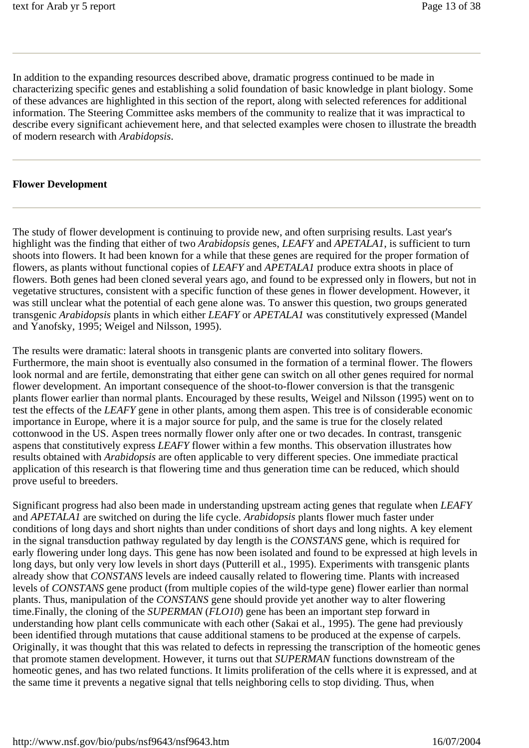In addition to the expanding resources described above, dramatic progress continued to be made in characterizing specific genes and establishing a solid foundation of basic knowledge in plant biology. Some of these advances are highlighted in this section of the report, along with selected references for additional information. The Steering Committee asks members of the community to realize that it was impractical to describe every significant achievement here, and that selected examples were chosen to illustrate the breadth of modern research with *Arabidopsis*.

#### **Flower Development**

The study of flower development is continuing to provide new, and often surprising results. Last year's highlight was the finding that either of two *Arabidopsis* genes, *LEAFY* and *APETALA1*, is sufficient to turn shoots into flowers. It had been known for a while that these genes are required for the proper formation of flowers, as plants without functional copies of *LEAFY* and *APETALA1* produce extra shoots in place of flowers. Both genes had been cloned several years ago, and found to be expressed only in flowers, but not in vegetative structures, consistent with a specific function of these genes in flower development. However, it was still unclear what the potential of each gene alone was. To answer this question, two groups generated transgenic *Arabidopsis* plants in which either *LEAFY* or *APETALA1* was constitutively expressed (Mandel and Yanofsky, 1995; Weigel and Nilsson, 1995).

The results were dramatic: lateral shoots in transgenic plants are converted into solitary flowers. Furthermore, the main shoot is eventually also consumed in the formation of a terminal flower. The flowers look normal and are fertile, demonstrating that either gene can switch on all other genes required for normal flower development. An important consequence of the shoot-to-flower conversion is that the transgenic plants flower earlier than normal plants. Encouraged by these results, Weigel and Nilsson (1995) went on to test the effects of the *LEAFY* gene in other plants, among them aspen. This tree is of considerable economic importance in Europe, where it is a major source for pulp, and the same is true for the closely related cottonwood in the US. Aspen trees normally flower only after one or two decades. In contrast, transgenic aspens that constitutively express *LEAFY* flower within a few months. This observation illustrates how results obtained with *Arabidopsis* are often applicable to very different species. One immediate practical application of this research is that flowering time and thus generation time can be reduced, which should prove useful to breeders.

Significant progress had also been made in understanding upstream acting genes that regulate when *LEAFY* and *APETALA1* are switched on during the life cycle. *Arabidopsis* plants flower much faster under conditions of long days and short nights than under conditions of short days and long nights. A key element in the signal transduction pathway regulated by day length is the *CONSTANS* gene, which is required for early flowering under long days. This gene has now been isolated and found to be expressed at high levels in long days, but only very low levels in short days (Putterill et al., 1995). Experiments with transgenic plants already show that *CONSTANS* levels are indeed causally related to flowering time. Plants with increased levels of *CONSTANS* gene product (from multiple copies of the wild-type gene) flower earlier than normal plants. Thus, manipulation of the *CONSTANS* gene should provide yet another way to alter flowering time.Finally, the cloning of the *SUPERMAN* (*FLO10*) gene has been an important step forward in understanding how plant cells communicate with each other (Sakai et al., 1995). The gene had previously been identified through mutations that cause additional stamens to be produced at the expense of carpels. Originally, it was thought that this was related to defects in repressing the transcription of the homeotic genes that promote stamen development. However, it turns out that *SUPERMAN* functions downstream of the homeotic genes, and has two related functions. It limits proliferation of the cells where it is expressed, and at the same time it prevents a negative signal that tells neighboring cells to stop dividing. Thus, when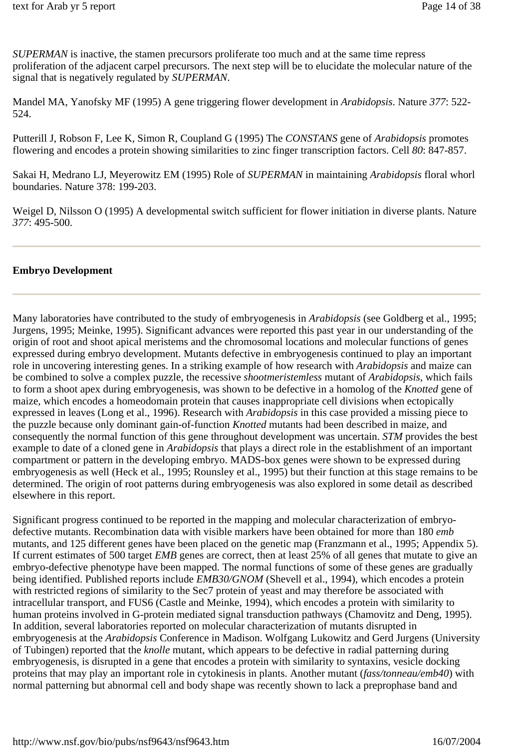*SUPERMAN* is inactive, the stamen precursors proliferate too much and at the same time repress proliferation of the adjacent carpel precursors. The next step will be to elucidate the molecular nature of the signal that is negatively regulated by *SUPERMAN*.

Mandel MA, Yanofsky MF (1995) A gene triggering flower development in *Arabidopsis*. Nature *377*: 522- 524.

Putterill J, Robson F, Lee K, Simon R, Coupland G (1995) The *CONSTANS* gene of *Arabidopsis* promotes flowering and encodes a protein showing similarities to zinc finger transcription factors. Cell *80*: 847-857.

Sakai H, Medrano LJ, Meyerowitz EM (1995) Role of *SUPERMAN* in maintaining *Arabidopsis* floral whorl boundaries. Nature 378: 199-203.

Weigel D, Nilsson O (1995) A developmental switch sufficient for flower initiation in diverse plants. Nature *377*: 495-500.

#### **Embryo Development**

Many laboratories have contributed to the study of embryogenesis in *Arabidopsis* (see Goldberg et al., 1995; Jurgens, 1995; Meinke, 1995). Significant advances were reported this past year in our understanding of the origin of root and shoot apical meristems and the chromosomal locations and molecular functions of genes expressed during embryo development. Mutants defective in embryogenesis continued to play an important role in uncovering interesting genes. In a striking example of how research with *Arabidopsis* and maize can be combined to solve a complex puzzle, the recessive *shootmeristemless* mutant of *Arabidopsis*, which fails to form a shoot apex during embryogenesis, was shown to be defective in a homolog of the *Knotted* gene of maize, which encodes a homeodomain protein that causes inappropriate cell divisions when ectopically expressed in leaves (Long et al., 1996). Research with *Arabidopsis* in this case provided a missing piece to the puzzle because only dominant gain-of-function *Knotted* mutants had been described in maize, and consequently the normal function of this gene throughout development was uncertain. *STM* provides the best example to date of a cloned gene in *Arabidopsis* that plays a direct role in the establishment of an important compartment or pattern in the developing embryo. MADS-box genes were shown to be expressed during embryogenesis as well (Heck et al., 1995; Rounsley et al., 1995) but their function at this stage remains to be determined. The origin of root patterns during embryogenesis was also explored in some detail as described elsewhere in this report.

Significant progress continued to be reported in the mapping and molecular characterization of embryodefective mutants. Recombination data with visible markers have been obtained for more than 180 *emb* mutants, and 125 different genes have been placed on the genetic map (Franzmann et al., 1995; Appendix 5). If current estimates of 500 target *EMB* genes are correct, then at least 25% of all genes that mutate to give an embryo-defective phenotype have been mapped. The normal functions of some of these genes are gradually being identified. Published reports include *EMB30/GNOM* (Shevell et al., 1994), which encodes a protein with restricted regions of similarity to the Sec7 protein of yeast and may therefore be associated with intracellular transport, and FUS6 (Castle and Meinke, 1994), which encodes a protein with similarity to human proteins involved in G-protein mediated signal transduction pathways (Chamovitz and Deng, 1995). In addition, several laboratories reported on molecular characterization of mutants disrupted in embryogenesis at the *Arabidopsis* Conference in Madison. Wolfgang Lukowitz and Gerd Jurgens (University of Tubingen) reported that the *knolle* mutant, which appears to be defective in radial patterning during embryogenesis, is disrupted in a gene that encodes a protein with similarity to syntaxins, vesicle docking proteins that may play an important role in cytokinesis in plants. Another mutant (*fass/tonneau/emb40*) with normal patterning but abnormal cell and body shape was recently shown to lack a preprophase band and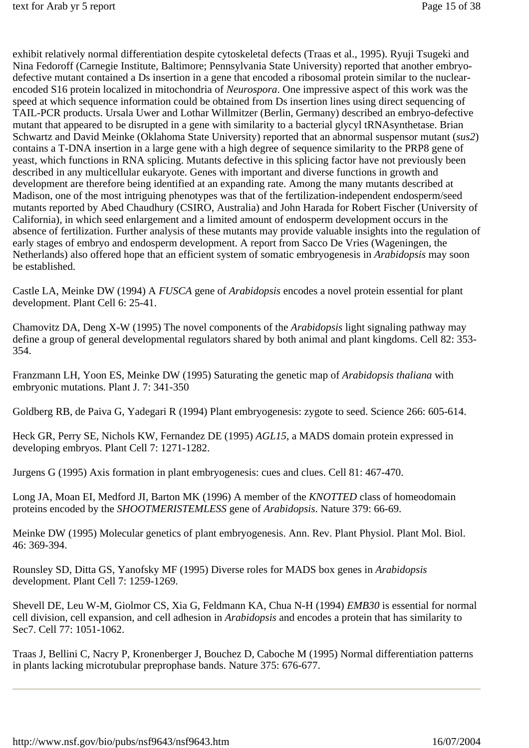exhibit relatively normal differentiation despite cytoskeletal defects (Traas et al., 1995). Ryuji Tsugeki and Nina Fedoroff (Carnegie Institute, Baltimore; Pennsylvania State University) reported that another embryodefective mutant contained a Ds insertion in a gene that encoded a ribosomal protein similar to the nuclearencoded S16 protein localized in mitochondria of *Neurospora*. One impressive aspect of this work was the speed at which sequence information could be obtained from Ds insertion lines using direct sequencing of TAIL-PCR products. Ursala Uwer and Lothar Willmitzer (Berlin, Germany) described an embryo-defective mutant that appeared to be disrupted in a gene with similarity to a bacterial glycyl tRNAsynthetase. Brian Schwartz and David Meinke (Oklahoma State University) reported that an abnormal suspensor mutant (*sus2*) contains a T-DNA insertion in a large gene with a high degree of sequence similarity to the PRP8 gene of yeast, which functions in RNA splicing. Mutants defective in this splicing factor have not previously been described in any multicellular eukaryote. Genes with important and diverse functions in growth and development are therefore being identified at an expanding rate. Among the many mutants described at Madison, one of the most intriguing phenotypes was that of the fertilization-independent endosperm/seed mutants reported by Abed Chaudhury (CSIRO, Australia) and John Harada for Robert Fischer (University of California), in which seed enlargement and a limited amount of endosperm development occurs in the absence of fertilization. Further analysis of these mutants may provide valuable insights into the regulation of early stages of embryo and endosperm development. A report from Sacco De Vries (Wageningen, the Netherlands) also offered hope that an efficient system of somatic embryogenesis in *Arabidopsis* may soon be established.

Castle LA, Meinke DW (1994) A *FUSCA* gene of *Arabidopsis* encodes a novel protein essential for plant development. Plant Cell 6: 25-41.

Chamovitz DA, Deng X-W (1995) The novel components of the *Arabidopsis* light signaling pathway may define a group of general developmental regulators shared by both animal and plant kingdoms. Cell 82: 353- 354.

Franzmann LH, Yoon ES, Meinke DW (1995) Saturating the genetic map of *Arabidopsis thaliana* with embryonic mutations. Plant J. 7: 341-350

Goldberg RB, de Paiva G, Yadegari R (1994) Plant embryogenesis: zygote to seed. Science 266: 605-614.

Heck GR, Perry SE, Nichols KW, Fernandez DE (1995) *AGL15*, a MADS domain protein expressed in developing embryos. Plant Cell 7: 1271-1282.

Jurgens G (1995) Axis formation in plant embryogenesis: cues and clues. Cell 81: 467-470.

Long JA, Moan EI, Medford JI, Barton MK (1996) A member of the *KNOTTED* class of homeodomain proteins encoded by the *SHOOTMERISTEMLESS* gene of *Arabidopsis*. Nature 379: 66-69.

Meinke DW (1995) Molecular genetics of plant embryogenesis. Ann. Rev. Plant Physiol. Plant Mol. Biol. 46: 369-394.

Rounsley SD, Ditta GS, Yanofsky MF (1995) Diverse roles for MADS box genes in *Arabidopsis* development. Plant Cell 7: 1259-1269.

Shevell DE, Leu W-M, Giolmor CS, Xia G, Feldmann KA, Chua N-H (1994) *EMB30* is essential for normal cell division, cell expansion, and cell adhesion in *Arabidopsis* and encodes a protein that has similarity to Sec7. Cell 77: 1051-1062.

Traas J, Bellini C, Nacry P, Kronenberger J, Bouchez D, Caboche M (1995) Normal differentiation patterns in plants lacking microtubular preprophase bands. Nature 375: 676-677.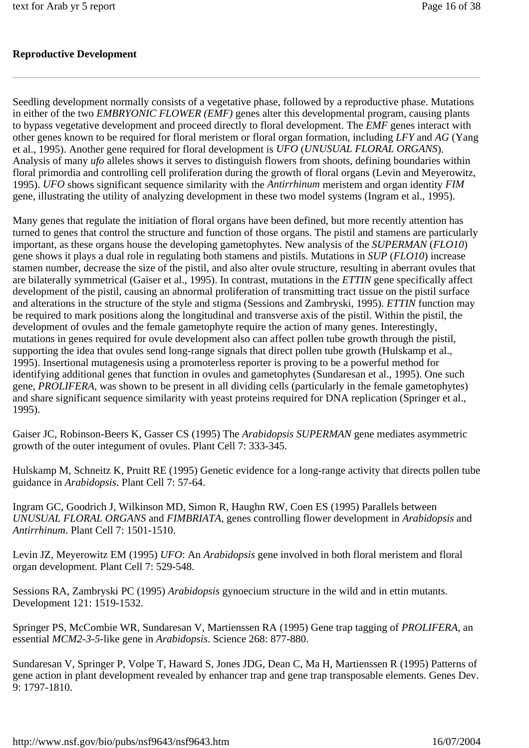### **Reproductive Development**

Seedling development normally consists of a vegetative phase, followed by a reproductive phase. Mutations in either of the two *EMBRYONIC FLOWER (EMF)* genes alter this developmental program, causing plants to bypass vegetative development and proceed directly to floral development. The *EMF* genes interact with other genes known to be required for floral meristem or floral organ formation, including *LFY* and *AG* (Yang et al., 1995). Another gene required for floral development is *UFO* (*UNUSUAL FLORAL ORGANS*). Analysis of many *ufo* alleles shows it serves to distinguish flowers from shoots, defining boundaries within floral primordia and controlling cell proliferation during the growth of floral organs (Levin and Meyerowitz, 1995). *UFO* shows significant sequence similarity with the *Antirrhinum* meristem and organ identity *FIM*  gene, illustrating the utility of analyzing development in these two model systems (Ingram et al., 1995).

Many genes that regulate the initiation of floral organs have been defined, but more recently attention has turned to genes that control the structure and function of those organs. The pistil and stamens are particularly important, as these organs house the developing gametophytes. New analysis of the *SUPERMAN* (*FLO10*) gene shows it plays a dual role in regulating both stamens and pistils. Mutations in *SUP* (*FLO10*) increase stamen number, decrease the size of the pistil, and also alter ovule structure, resulting in aberrant ovules that are bilaterally symmetrical (Gaiser et al., 1995). In contrast, mutations in the *ETTIN* gene specifically affect development of the pistil, causing an abnormal proliferation of transmitting tract tissue on the pistil surface and alterations in the structure of the style and stigma (Sessions and Zambryski, 1995). *ETTIN* function may be required to mark positions along the longitudinal and transverse axis of the pistil. Within the pistil, the development of ovules and the female gametophyte require the action of many genes. Interestingly, mutations in genes required for ovule development also can affect pollen tube growth through the pistil, supporting the idea that ovules send long-range signals that direct pollen tube growth (Hulskamp et al., 1995). Insertional mutagenesis using a promoterless reporter is proving to be a powerful method for identifying additional genes that function in ovules and gametophytes (Sundaresan et al., 1995). One such gene, *PROLIFERA*, was shown to be present in all dividing cells (particularly in the female gametophytes) and share significant sequence similarity with yeast proteins required for DNA replication (Springer et al., 1995).

Gaiser JC, Robinson-Beers K, Gasser CS (1995) The *Arabidopsis SUPERMAN* gene mediates asymmetric growth of the outer integument of ovules. Plant Cell 7: 333-345.

Hulskamp M, Schneitz K, Pruitt RE (1995) Genetic evidence for a long-range activity that directs pollen tube guidance in *Arabidopsis*. Plant Cell 7: 57-64.

Ingram GC, Goodrich J, Wilkinson MD, Simon R, Haughn RW, Coen ES (1995) Parallels between *UNUSUAL FLORAL ORGANS* and *FIMBRIATA*, genes controlling flower development in *Arabidopsis* and *Antirrhinum*. Plant Cell 7: 1501-1510.

Levin JZ, Meyerowitz EM (1995) *UFO*: An *Arabidopsis* gene involved in both floral meristem and floral organ development. Plant Cell 7: 529-548.

Sessions RA, Zambryski PC (1995) *Arabidopsis* gynoecium structure in the wild and in ettin mutants. Development 121: 1519-1532.

Springer PS, McCombie WR, Sundaresan V, Martienssen RA (1995) Gene trap tagging of *PROLIFERA*, an essential *MCM2-3-5-*like gene in *Arabidopsis*. Science 268: 877-880.

Sundaresan V, Springer P, Volpe T, Haward S, Jones JDG, Dean C, Ma H, Martienssen R (1995) Patterns of gene action in plant development revealed by enhancer trap and gene trap transposable elements. Genes Dev. 9: 1797-1810.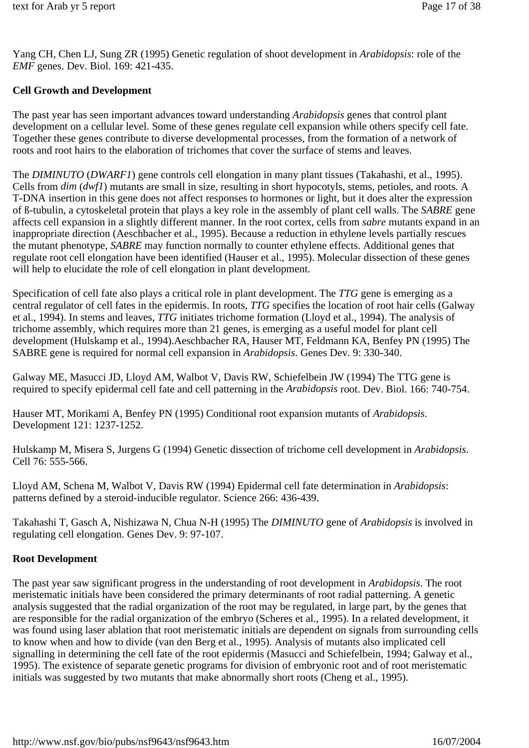Yang CH, Chen LJ, Sung ZR (1995) Genetic regulation of shoot development in *Arabidopsis*: role of the *EMF* genes. Dev. Biol. 169: 421-435.

## **Cell Growth and Development**

The past year has seen important advances toward understanding *Arabidopsis* genes that control plant development on a cellular level. Some of these genes regulate cell expansion while others specify cell fate. Together these genes contribute to diverse developmental processes, from the formation of a network of roots and root hairs to the elaboration of trichomes that cover the surface of stems and leaves.

The *DIMINUTO* (*DWARF1*) gene controls cell elongation in many plant tissues (Takahashi, et al., 1995). Cells from *dim* (*dwf1*) mutants are small in size, resulting in short hypocotyls, stems, petioles, and roots. A T-DNA insertion in this gene does not affect responses to hormones or light, but it does alter the expression of ß-tubulin, a cytoskeletal protein that plays a key role in the assembly of plant cell walls. The *SABRE* gene affects cell expansion in a slightly different manner. In the root cortex, cells from *sabre* mutants expand in an inappropriate direction (Aeschbacher et al., 1995). Because a reduction in ethylene levels partially rescues the mutant phenotype, *SABRE* may function normally to counter ethylene effects. Additional genes that regulate root cell elongation have been identified (Hauser et al., 1995). Molecular dissection of these genes will help to elucidate the role of cell elongation in plant development.

Specification of cell fate also plays a critical role in plant development. The *TTG* gene is emerging as a central regulator of cell fates in the epidermis. In roots, *TTG* specifies the location of root hair cells (Galway et al., 1994). In stems and leaves, *TTG* initiates trichome formation (Lloyd et al., 1994). The analysis of trichome assembly, which requires more than 21 genes, is emerging as a useful model for plant cell development (Hulskamp et al., 1994).Aeschbacher RA, Hauser MT, Feldmann KA, Benfey PN (1995) The SABRE gene is required for normal cell expansion in *Arabidopsis*. Genes Dev. 9: 330-340.

Galway ME, Masucci JD, Lloyd AM, Walbot V, Davis RW, Schiefelbein JW (1994) The TTG gene is required to specify epidermal cell fate and cell patterning in the *Arabidopsis* root. Dev. Biol. 166: 740-754.

Hauser MT, Morikami A, Benfey PN (1995) Conditional root expansion mutants of *Arabidopsis*. Development 121: 1237-1252.

Hulskamp M, Misera S, Jurgens G (1994) Genetic dissection of trichome cell development in *Arabidopsis*. Cell 76: 555-566.

Lloyd AM, Schena M, Walbot V, Davis RW (1994) Epidermal cell fate determination in *Arabidopsis*: patterns defined by a steroid-inducible regulator. Science 266: 436-439.

Takahashi T, Gasch A, Nishizawa N, Chua N-H (1995) The *DIMINUTO* gene of *Arabidopsis* is involved in regulating cell elongation. Genes Dev. 9: 97-107.

#### **Root Development**

The past year saw significant progress in the understanding of root development in *Arabidopsis*. The root meristematic initials have been considered the primary determinants of root radial patterning. A genetic analysis suggested that the radial organization of the root may be regulated, in large part, by the genes that are responsible for the radial organization of the embryo (Scheres et al., 1995). In a related development, it was found using laser ablation that root meristematic initials are dependent on signals from surrounding cells to know when and how to divide (van den Berg et al., 1995). Analysis of mutants also implicated cell signalling in determining the cell fate of the root epidermis (Masucci and Schiefelbein, 1994; Galway et al., 1995). The existence of separate genetic programs for division of embryonic root and of root meristematic initials was suggested by two mutants that make abnormally short roots (Cheng et al., 1995).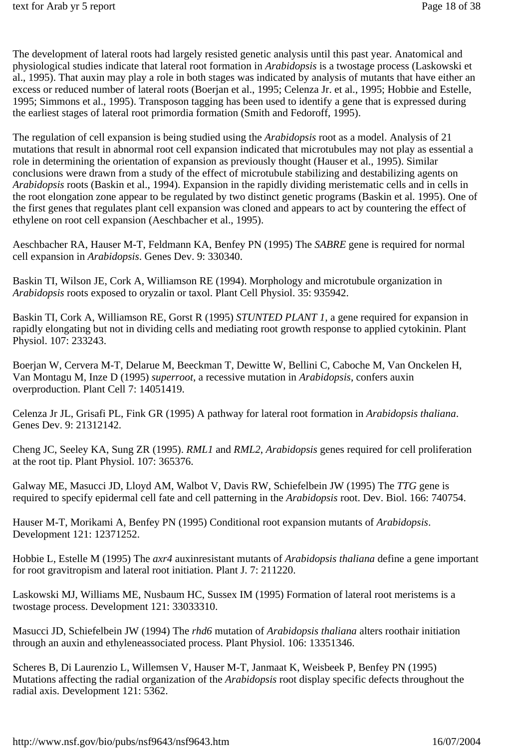The development of lateral roots had largely resisted genetic analysis until this past year. Anatomical and physiological studies indicate that lateral root formation in *Arabidopsis* is a twostage process (Laskowski et al., 1995). That auxin may play a role in both stages was indicated by analysis of mutants that have either an excess or reduced number of lateral roots (Boerjan et al., 1995; Celenza Jr. et al., 1995; Hobbie and Estelle, 1995; Simmons et al., 1995). Transposon tagging has been used to identify a gene that is expressed during the earliest stages of lateral root primordia formation (Smith and Fedoroff, 1995).

The regulation of cell expansion is being studied using the *Arabidopsis* root as a model. Analysis of 21 mutations that result in abnormal root cell expansion indicated that microtubules may not play as essential a role in determining the orientation of expansion as previously thought (Hauser et al., 1995). Similar conclusions were drawn from a study of the effect of microtubule stabilizing and destabilizing agents on *Arabidopsis* roots (Baskin et al., 1994). Expansion in the rapidly dividing meristematic cells and in cells in the root elongation zone appear to be regulated by two distinct genetic programs (Baskin et al. 1995). One of the first genes that regulates plant cell expansion was cloned and appears to act by countering the effect of ethylene on root cell expansion (Aeschbacher et al., 1995).

Aeschbacher RA, Hauser M-T, Feldmann KA, Benfey PN (1995) The *SABRE* gene is required for normal cell expansion in *Arabidopsis*. Genes Dev. 9: 330340.

Baskin TI, Wilson JE, Cork A, Williamson RE (1994). Morphology and microtubule organization in *Arabidopsis* roots exposed to oryzalin or taxol. Plant Cell Physiol. 35: 935942.

Baskin TI, Cork A, Williamson RE, Gorst R (1995) *STUNTED PLANT 1,* a gene required for expansion in rapidly elongating but not in dividing cells and mediating root growth response to applied cytokinin. Plant Physiol. 107: 233243.

Boerjan W, Cervera M-T, Delarue M, Beeckman T, Dewitte W, Bellini C, Caboche M, Van Onckelen H, Van Montagu M, Inze D (1995) *superroot*, a recessive mutation in *Arabidopsis*, confers auxin overproduction. Plant Cell 7: 14051419.

Celenza Jr JL, Grisafi PL, Fink GR (1995) A pathway for lateral root formation in *Arabidopsis thaliana*. Genes Dev. 9: 21312142.

Cheng JC, Seeley KA, Sung ZR (1995). *RML1* and *RML2*, *Arabidopsis* genes required for cell proliferation at the root tip. Plant Physiol. 107: 365376.

Galway ME, Masucci JD, Lloyd AM, Walbot V, Davis RW, Schiefelbein JW (1995) The *TTG* gene is required to specify epidermal cell fate and cell patterning in the *Arabidopsis* root. Dev. Biol. 166: 740754.

Hauser M-T, Morikami A, Benfey PN (1995) Conditional root expansion mutants of *Arabidopsis*. Development 121: 12371252.

Hobbie L, Estelle M (1995) The *axr4* auxinresistant mutants of *Arabidopsis thaliana* define a gene important for root gravitropism and lateral root initiation. Plant J. 7: 211220.

Laskowski MJ, Williams ME, Nusbaum HC, Sussex IM (1995) Formation of lateral root meristems is a twostage process. Development 121: 33033310.

Masucci JD, Schiefelbein JW (1994) The *rhd6* mutation of *Arabidopsis thaliana* alters roothair initiation through an auxin and ethyleneassociated process. Plant Physiol. 106: 13351346.

Scheres B, Di Laurenzio L, Willemsen V, Hauser M-T, Janmaat K, Weisbeek P, Benfey PN (1995) Mutations affecting the radial organization of the *Arabidopsis* root display specific defects throughout the radial axis. Development 121: 5362.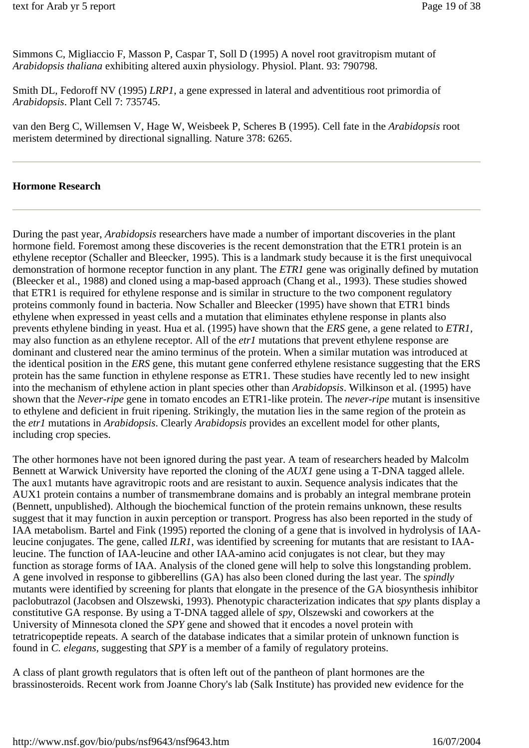Simmons C, Migliaccio F, Masson P, Caspar T, Soll D (1995) A novel root gravitropism mutant of *Arabidopsis thaliana* exhibiting altered auxin physiology. Physiol. Plant. 93: 790798.

Smith DL, Fedoroff NV (1995) *LRP1*, a gene expressed in lateral and adventitious root primordia of *Arabidopsis*. Plant Cell 7: 735745.

van den Berg C, Willemsen V, Hage W, Weisbeek P, Scheres B (1995). Cell fate in the *Arabidopsis* root meristem determined by directional signalling. Nature 378: 6265.

#### **Hormone Research**

During the past year, *Arabidopsis* researchers have made a number of important discoveries in the plant hormone field. Foremost among these discoveries is the recent demonstration that the ETR1 protein is an ethylene receptor (Schaller and Bleecker, 1995). This is a landmark study because it is the first unequivocal demonstration of hormone receptor function in any plant. The *ETR1* gene was originally defined by mutation (Bleecker et al., 1988) and cloned using a map-based approach (Chang et al., 1993). These studies showed that ETR1 is required for ethylene response and is similar in structure to the two component regulatory proteins commonly found in bacteria. Now Schaller and Bleecker (1995) have shown that ETR1 binds ethylene when expressed in yeast cells and a mutation that eliminates ethylene response in plants also prevents ethylene binding in yeast. Hua et al. (1995) have shown that the *ERS* gene, a gene related to *ETR1,* may also function as an ethylene receptor. All of the *etr1* mutations that prevent ethylene response are dominant and clustered near the amino terminus of the protein. When a similar mutation was introduced at the identical position in the *ERS* gene, this mutant gene conferred ethylene resistance suggesting that the ERS protein has the same function in ethylene response as ETR1. These studies have recently led to new insight into the mechanism of ethylene action in plant species other than *Arabidopsis*. Wilkinson et al. (1995) have shown that the *Never-ripe* gene in tomato encodes an ETR1-like protein. The *never-ripe* mutant is insensitive to ethylene and deficient in fruit ripening. Strikingly, the mutation lies in the same region of the protein as the *etr1* mutations in *Arabidopsis*. Clearly *Arabidopsis* provides an excellent model for other plants, including crop species.

The other hormones have not been ignored during the past year. A team of researchers headed by Malcolm Bennett at Warwick University have reported the cloning of the *AUX1* gene using a T-DNA tagged allele. The aux1 mutants have agravitropic roots and are resistant to auxin. Sequence analysis indicates that the AUX1 protein contains a number of transmembrane domains and is probably an integral membrane protein (Bennett, unpublished). Although the biochemical function of the protein remains unknown, these results suggest that it may function in auxin perception or transport. Progress has also been reported in the study of IAA metabolism. Bartel and Fink (1995) reported the cloning of a gene that is involved in hydrolysis of IAAleucine conjugates. The gene, called *ILR1*, was identified by screening for mutants that are resistant to IAAleucine. The function of IAA-leucine and other IAA-amino acid conjugates is not clear, but they may function as storage forms of IAA. Analysis of the cloned gene will help to solve this longstanding problem. A gene involved in response to gibberellins (GA) has also been cloned during the last year. The *spindly* mutants were identified by screening for plants that elongate in the presence of the GA biosynthesis inhibitor paclobutrazol (Jacobsen and Olszewski, 1993). Phenotypic characterization indicates that *spy* plants display a constitutive GA response. By using a T-DNA tagged allele of *spy*, Olszewski and coworkers at the University of Minnesota cloned the *SPY* gene and showed that it encodes a novel protein with tetratricopeptide repeats. A search of the database indicates that a similar protein of unknown function is found in *C. elegans,* suggesting that *SPY* is a member of a family of regulatory proteins.

A class of plant growth regulators that is often left out of the pantheon of plant hormones are the brassinosteroids. Recent work from Joanne Chory's lab (Salk Institute) has provided new evidence for the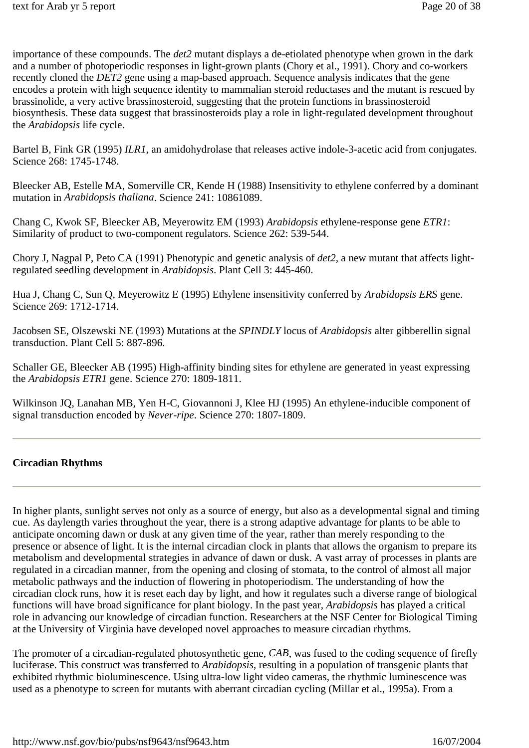importance of these compounds. The *det2* mutant displays a de-etiolated phenotype when grown in the dark and a number of photoperiodic responses in light-grown plants (Chory et al., 1991). Chory and co-workers recently cloned the *DET2* gene using a map-based approach. Sequence analysis indicates that the gene encodes a protein with high sequence identity to mammalian steroid reductases and the mutant is rescued by brassinolide, a very active brassinosteroid, suggesting that the protein functions in brassinosteroid biosynthesis. These data suggest that brassinosteroids play a role in light-regulated development throughout the *Arabidopsis* life cycle.

Bartel B, Fink GR (1995) *ILR1*, an amidohydrolase that releases active indole-3-acetic acid from conjugates. Science 268: 1745-1748.

Bleecker AB, Estelle MA, Somerville CR, Kende H (1988) Insensitivity to ethylene conferred by a dominant mutation in *Arabidopsis thaliana*. Science 241: 10861089.

Chang C, Kwok SF, Bleecker AB, Meyerowitz EM (1993) *Arabidopsis* ethylene-response gene *ETR1*: Similarity of product to two-component regulators. Science 262: 539-544.

Chory J, Nagpal P, Peto CA (1991) Phenotypic and genetic analysis of *det2,* a new mutant that affects lightregulated seedling development in *Arabidopsis*. Plant Cell 3: 445-460.

Hua J, Chang C, Sun Q, Meyerowitz E (1995) Ethylene insensitivity conferred by *Arabidopsis ERS* gene. Science 269: 1712-1714.

Jacobsen SE, Olszewski NE (1993) Mutations at the *SPINDLY* locus of *Arabidopsis* alter gibberellin signal transduction. Plant Cell 5: 887-896.

Schaller GE, Bleecker AB (1995) High-affinity binding sites for ethylene are generated in yeast expressing the *Arabidopsis ETR1* gene. Science 270: 1809-1811.

Wilkinson JQ, Lanahan MB, Yen H-C, Giovannoni J, Klee HJ (1995) An ethylene-inducible component of signal transduction encoded by *Never-ripe*. Science 270: 1807-1809.

### **Circadian Rhythms**

In higher plants, sunlight serves not only as a source of energy, but also as a developmental signal and timing cue. As daylength varies throughout the year, there is a strong adaptive advantage for plants to be able to anticipate oncoming dawn or dusk at any given time of the year, rather than merely responding to the presence or absence of light. It is the internal circadian clock in plants that allows the organism to prepare its metabolism and developmental strategies in advance of dawn or dusk. A vast array of processes in plants are regulated in a circadian manner, from the opening and closing of stomata, to the control of almost all major metabolic pathways and the induction of flowering in photoperiodism. The understanding of how the circadian clock runs, how it is reset each day by light, and how it regulates such a diverse range of biological functions will have broad significance for plant biology. In the past year, *Arabidopsis* has played a critical role in advancing our knowledge of circadian function. Researchers at the NSF Center for Biological Timing at the University of Virginia have developed novel approaches to measure circadian rhythms.

The promoter of a circadian-regulated photosynthetic gene, *CAB*, was fused to the coding sequence of firefly luciferase. This construct was transferred to *Arabidopsis*, resulting in a population of transgenic plants that exhibited rhythmic bioluminescence. Using ultra-low light video cameras, the rhythmic luminescence was used as a phenotype to screen for mutants with aberrant circadian cycling (Millar et al., 1995a). From a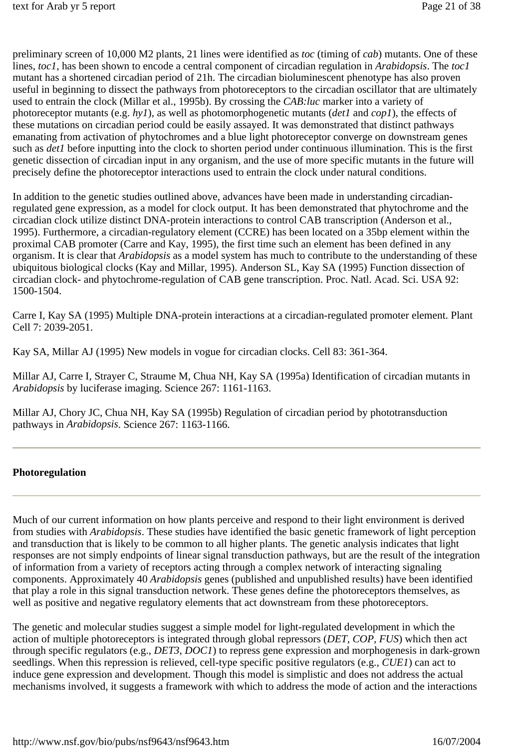preliminary screen of 10,000 M2 plants, 21 lines were identified as *toc* (timing of *cab*) mutants. One of these lines, *toc1*, has been shown to encode a central component of circadian regulation in *Arabidopsis*. The *toc1* mutant has a shortened circadian period of 21h. The circadian bioluminescent phenotype has also proven useful in beginning to dissect the pathways from photoreceptors to the circadian oscillator that are ultimately used to entrain the clock (Millar et al., 1995b). By crossing the *CAB:luc* marker into a variety of photoreceptor mutants (e.g. *hy1*), as well as photomorphogenetic mutants (*det1* and *cop1*), the effects of these mutations on circadian period could be easily assayed. It was demonstrated that distinct pathways emanating from activation of phytochromes and a blue light photoreceptor converge on downstream genes such as *det1* before inputting into the clock to shorten period under continuous illumination. This is the first genetic dissection of circadian input in any organism, and the use of more specific mutants in the future will precisely define the photoreceptor interactions used to entrain the clock under natural conditions.

In addition to the genetic studies outlined above, advances have been made in understanding circadianregulated gene expression, as a model for clock output. It has been demonstrated that phytochrome and the circadian clock utilize distinct DNA-protein interactions to control CAB transcription (Anderson et al., 1995). Furthermore, a circadian-regulatory element (CCRE) has been located on a 35bp element within the proximal CAB promoter (Carre and Kay, 1995), the first time such an element has been defined in any organism. It is clear that *Arabidopsis* as a model system has much to contribute to the understanding of these ubiquitous biological clocks (Kay and Millar, 1995). Anderson SL, Kay SA (1995) Function dissection of circadian clock- and phytochrome-regulation of CAB gene transcription. Proc. Natl. Acad. Sci. USA 92: 1500-1504.

Carre I, Kay SA (1995) Multiple DNA-protein interactions at a circadian-regulated promoter element. Plant Cell 7: 2039-2051.

Kay SA, Millar AJ (1995) New models in vogue for circadian clocks. Cell 83: 361-364.

Millar AJ, Carre I, Strayer C, Straume M, Chua NH, Kay SA (1995a) Identification of circadian mutants in *Arabidopsis* by luciferase imaging. Science 267: 1161-1163.

Millar AJ, Chory JC, Chua NH, Kay SA (1995b) Regulation of circadian period by phototransduction pathways in *Arabidopsis*. Science 267: 1163-1166.

#### **Photoregulation**

Much of our current information on how plants perceive and respond to their light environment is derived from studies with *Arabidopsis*. These studies have identified the basic genetic framework of light perception and transduction that is likely to be common to all higher plants. The genetic analysis indicates that light responses are not simply endpoints of linear signal transduction pathways, but are the result of the integration of information from a variety of receptors acting through a complex network of interacting signaling components. Approximately 40 *Arabidopsis* genes (published and unpublished results) have been identified that play a role in this signal transduction network. These genes define the photoreceptors themselves, as well as positive and negative regulatory elements that act downstream from these photoreceptors.

The genetic and molecular studies suggest a simple model for light-regulated development in which the action of multiple photoreceptors is integrated through global repressors (*DET, COP, FUS*) which then act through specific regulators (e.g., *DET3*, *DOC1*) to repress gene expression and morphogenesis in dark-grown seedlings. When this repression is relieved, cell-type specific positive regulators (e.g., *CUE1*) can act to induce gene expression and development. Though this model is simplistic and does not address the actual mechanisms involved, it suggests a framework with which to address the mode of action and the interactions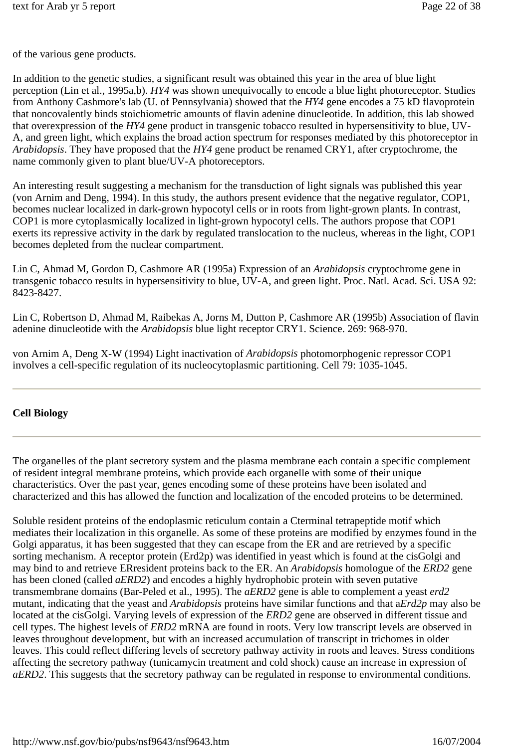of the various gene products.

In addition to the genetic studies, a significant result was obtained this year in the area of blue light perception (Lin et al., 1995a,b). *HY4* was shown unequivocally to encode a blue light photoreceptor. Studies from Anthony Cashmore's lab (U. of Pennsylvania) showed that the *HY4* gene encodes a 75 kD flavoprotein that noncovalently binds stoichiometric amounts of flavin adenine dinucleotide. In addition, this lab showed that overexpression of the *HY4* gene product in transgenic tobacco resulted in hypersensitivity to blue, UV-A, and green light, which explains the broad action spectrum for responses mediated by this photoreceptor in *Arabidopsis*. They have proposed that the *HY4* gene product be renamed CRY1, after cryptochrome, the name commonly given to plant blue/UV-A photoreceptors.

An interesting result suggesting a mechanism for the transduction of light signals was published this year (von Arnim and Deng, 1994). In this study, the authors present evidence that the negative regulator, COP1, becomes nuclear localized in dark-grown hypocotyl cells or in roots from light-grown plants. In contrast, COP1 is more cytoplasmically localized in light-grown hypocotyl cells. The authors propose that COP1 exerts its repressive activity in the dark by regulated translocation to the nucleus, whereas in the light, COP1 becomes depleted from the nuclear compartment.

Lin C, Ahmad M, Gordon D, Cashmore AR (1995a) Expression of an *Arabidopsis* cryptochrome gene in transgenic tobacco results in hypersensitivity to blue, UV-A, and green light. Proc. Natl. Acad. Sci. USA 92: 8423-8427.

Lin C, Robertson D, Ahmad M, Raibekas A, Jorns M, Dutton P, Cashmore AR (1995b) Association of flavin adenine dinucleotide with the *Arabidopsis* blue light receptor CRY1. Science. 269: 968-970.

von Arnim A, Deng X-W (1994) Light inactivation of *Arabidopsis* photomorphogenic repressor COP1 involves a cell-specific regulation of its nucleocytoplasmic partitioning. Cell 79: 1035-1045.

#### **Cell Biology**

The organelles of the plant secretory system and the plasma membrane each contain a specific complement of resident integral membrane proteins, which provide each organelle with some of their unique characteristics. Over the past year, genes encoding some of these proteins have been isolated and characterized and this has allowed the function and localization of the encoded proteins to be determined.

Soluble resident proteins of the endoplasmic reticulum contain a Cterminal tetrapeptide motif which mediates their localization in this organelle. As some of these proteins are modified by enzymes found in the Golgi apparatus, it has been suggested that they can escape from the ER and are retrieved by a specific sorting mechanism. A receptor protein (Erd2p) was identified in yeast which is found at the cisGolgi and may bind to and retrieve ERresident proteins back to the ER. An *Arabidopsis* homologue of the *ERD2* gene has been cloned (called *aERD2*) and encodes a highly hydrophobic protein with seven putative transmembrane domains (Bar-Peled et al., 1995). The *aERD2* gene is able to complement a yeast *erd2* mutant, indicating that the yeast and *Arabidopsis* proteins have similar functions and that a*Erd2p* may also be located at the cisGolgi. Varying levels of expression of the *ERD2* gene are observed in different tissue and cell types. The highest levels of *ERD2* mRNA are found in roots. Very low transcript levels are observed in leaves throughout development, but with an increased accumulation of transcript in trichomes in older leaves. This could reflect differing levels of secretory pathway activity in roots and leaves. Stress conditions affecting the secretory pathway (tunicamycin treatment and cold shock) cause an increase in expression of *aERD2*. This suggests that the secretory pathway can be regulated in response to environmental conditions.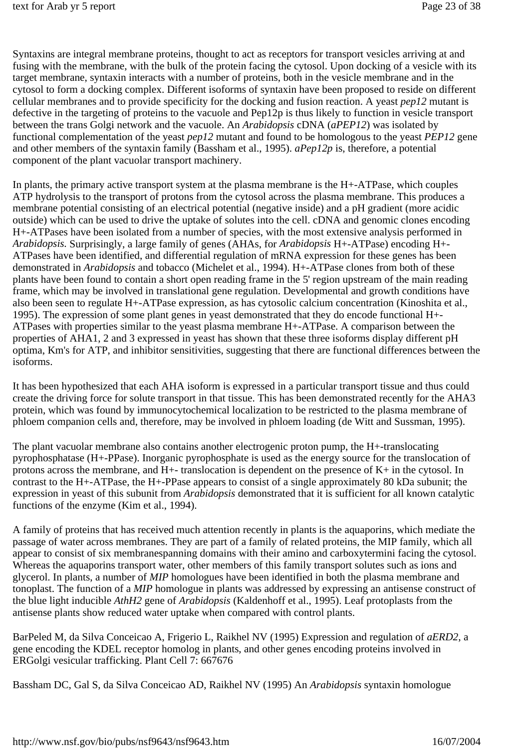Syntaxins are integral membrane proteins, thought to act as receptors for transport vesicles arriving at and fusing with the membrane, with the bulk of the protein facing the cytosol. Upon docking of a vesicle with its target membrane, syntaxin interacts with a number of proteins, both in the vesicle membrane and in the cytosol to form a docking complex. Different isoforms of syntaxin have been proposed to reside on different cellular membranes and to provide specificity for the docking and fusion reaction. A yeast *pep12* mutant is defective in the targeting of proteins to the vacuole and Pep12p is thus likely to function in vesicle transport between the trans Golgi network and the vacuole. An *Arabidopsis* cDNA (*aPEP12*) was isolated by functional complementation of the yeast *pep12* mutant and found to be homologous to the yeast *PEP12* gene and other members of the syntaxin family (Bassham et al., 1995). *aPep12p* is, therefore, a potential component of the plant vacuolar transport machinery.

In plants, the primary active transport system at the plasma membrane is the H+-ATPase, which couples ATP hydrolysis to the transport of protons from the cytosol across the plasma membrane. This produces a membrane potential consisting of an electrical potential (negative inside) and a pH gradient (more acidic outside) which can be used to drive the uptake of solutes into the cell. cDNA and genomic clones encoding H+-ATPases have been isolated from a number of species, with the most extensive analysis performed in *Arabidopsis.* Surprisingly, a large family of genes (AHAs, for *Arabidopsis* H+-ATPase) encoding H+- ATPases have been identified, and differential regulation of mRNA expression for these genes has been demonstrated in *Arabidopsis* and tobacco (Michelet et al., 1994). H+-ATPase clones from both of these plants have been found to contain a short open reading frame in the 5' region upstream of the main reading frame, which may be involved in translational gene regulation. Developmental and growth conditions have also been seen to regulate H+-ATPase expression, as has cytosolic calcium concentration (Kinoshita et al., 1995). The expression of some plant genes in yeast demonstrated that they do encode functional H+- ATPases with properties similar to the yeast plasma membrane H+-ATPase. A comparison between the properties of AHA1, 2 and 3 expressed in yeast has shown that these three isoforms display different pH optima, Km's for ATP, and inhibitor sensitivities, suggesting that there are functional differences between the isoforms.

It has been hypothesized that each AHA isoform is expressed in a particular transport tissue and thus could create the driving force for solute transport in that tissue. This has been demonstrated recently for the AHA3 protein, which was found by immunocytochemical localization to be restricted to the plasma membrane of phloem companion cells and, therefore, may be involved in phloem loading (de Witt and Sussman, 1995).

The plant vacuolar membrane also contains another electrogenic proton pump, the H+-translocating pyrophosphatase (H+-PPase). Inorganic pyrophosphate is used as the energy source for the translocation of protons across the membrane, and H+- translocation is dependent on the presence of K+ in the cytosol. In contrast to the H+-ATPase, the H+-PPase appears to consist of a single approximately 80 kDa subunit; the expression in yeast of this subunit from *Arabidopsis* demonstrated that it is sufficient for all known catalytic functions of the enzyme (Kim et al., 1994).

A family of proteins that has received much attention recently in plants is the aquaporins, which mediate the passage of water across membranes. They are part of a family of related proteins, the MIP family, which all appear to consist of six membranespanning domains with their amino and carboxytermini facing the cytosol. Whereas the aquaporins transport water, other members of this family transport solutes such as ions and glycerol. In plants, a number of *MIP* homologues have been identified in both the plasma membrane and tonoplast. The function of a *MIP* homologue in plants was addressed by expressing an antisense construct of the blue light inducible *AthH2* gene of *Arabidopsis* (Kaldenhoff et al., 1995). Leaf protoplasts from the antisense plants show reduced water uptake when compared with control plants.

BarPeled M, da Silva Conceicao A, Frigerio L, Raikhel NV (1995) Expression and regulation of *aERD2*, a gene encoding the KDEL receptor homolog in plants, and other genes encoding proteins involved in ERGolgi vesicular trafficking. Plant Cell 7: 667676

Bassham DC, Gal S, da Silva Conceicao AD, Raikhel NV (1995) An *Arabidopsis* syntaxin homologue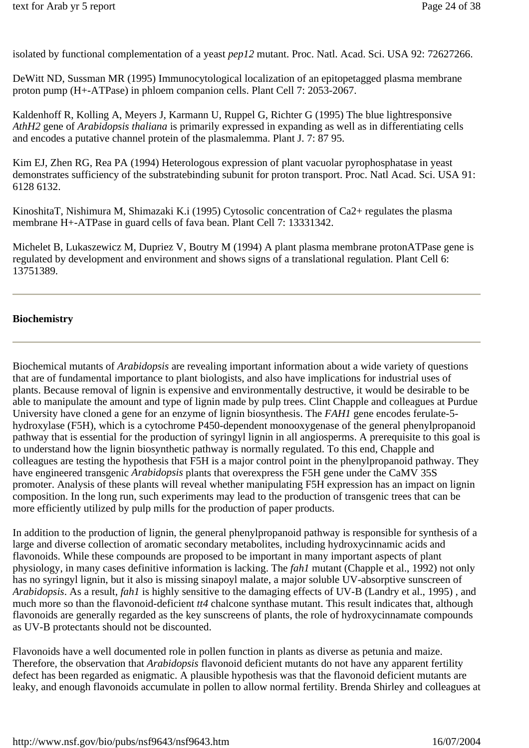isolated by functional complementation of a yeast *pep12* mutant. Proc. Natl. Acad. Sci. USA 92: 72627266.

DeWitt ND, Sussman MR (1995) Immunocytological localization of an epitopetagged plasma membrane proton pump (H+-ATPase) in phloem companion cells. Plant Cell 7: 2053-2067.

Kaldenhoff R, Kolling A, Meyers J, Karmann U, Ruppel G, Richter G (1995) The blue lightresponsive *AthH2* gene of *Arabidopsis thaliana* is primarily expressed in expanding as well as in differentiating cells and encodes a putative channel protein of the plasmalemma. Plant J. 7: 87 95.

Kim EJ, Zhen RG, Rea PA (1994) Heterologous expression of plant vacuolar pyrophosphatase in yeast demonstrates sufficiency of the substratebinding subunit for proton transport. Proc. Natl Acad. Sci. USA 91: 6128 6132.

KinoshitaT, Nishimura M, Shimazaki K.i (1995) Cytosolic concentration of Ca2+ regulates the plasma membrane H+-ATPase in guard cells of fava bean. Plant Cell 7: 13331342.

Michelet B, Lukaszewicz M, Dupriez V, Boutry M (1994) A plant plasma membrane protonATPase gene is regulated by development and environment and shows signs of a translational regulation. Plant Cell 6: 13751389.

#### **Biochemistry**

Biochemical mutants of *Arabidopsis* are revealing important information about a wide variety of questions that are of fundamental importance to plant biologists, and also have implications for industrial uses of plants. Because removal of lignin is expensive and environmentally destructive, it would be desirable to be able to manipulate the amount and type of lignin made by pulp trees. Clint Chapple and colleagues at Purdue University have cloned a gene for an enzyme of lignin biosynthesis. The *FAH1* gene encodes ferulate-5 hydroxylase (F5H), which is a cytochrome P450-dependent monooxygenase of the general phenylpropanoid pathway that is essential for the production of syringyl lignin in all angiosperms. A prerequisite to this goal is to understand how the lignin biosynthetic pathway is normally regulated. To this end, Chapple and colleagues are testing the hypothesis that F5H is a major control point in the phenylpropanoid pathway. They have engineered transgenic *Arabidopsis* plants that overexpress the F5H gene under the CaMV 35S promoter. Analysis of these plants will reveal whether manipulating F5H expression has an impact on lignin composition. In the long run, such experiments may lead to the production of transgenic trees that can be more efficiently utilized by pulp mills for the production of paper products.

In addition to the production of lignin, the general phenylpropanoid pathway is responsible for synthesis of a large and diverse collection of aromatic secondary metabolites, including hydroxycinnamic acids and flavonoids. While these compounds are proposed to be important in many important aspects of plant physiology, in many cases definitive information is lacking. The *fah1* mutant (Chapple et al., 1992) not only has no syringyl lignin, but it also is missing sinapoyl malate, a major soluble UV-absorptive sunscreen of *Arabidopsis*. As a result, *fah1* is highly sensitive to the damaging effects of UV-B (Landry et al., 1995) , and much more so than the flavonoid-deficient *tt4* chalcone synthase mutant. This result indicates that, although flavonoids are generally regarded as the key sunscreens of plants, the role of hydroxycinnamate compounds as UV-B protectants should not be discounted.

Flavonoids have a well documented role in pollen function in plants as diverse as petunia and maize. Therefore, the observation that *Arabidopsis* flavonoid deficient mutants do not have any apparent fertility defect has been regarded as enigmatic. A plausible hypothesis was that the flavonoid deficient mutants are leaky, and enough flavonoids accumulate in pollen to allow normal fertility. Brenda Shirley and colleagues at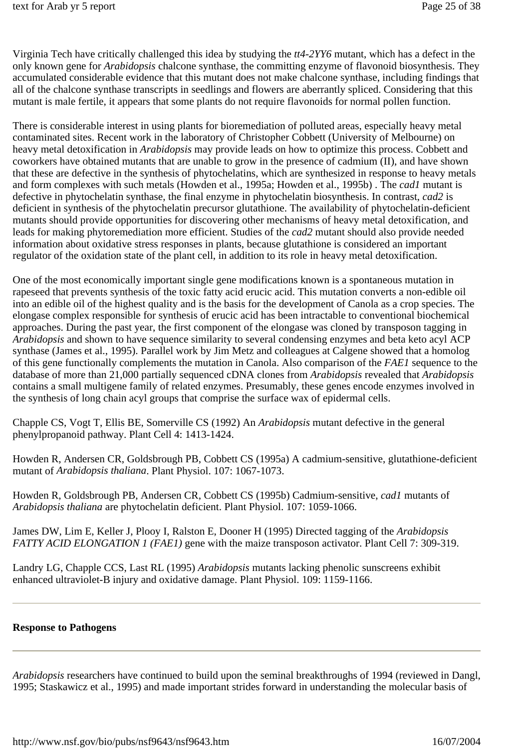Virginia Tech have critically challenged this idea by studying the *tt4-2YY6* mutant, which has a defect in the only known gene for *Arabidopsis* chalcone synthase, the committing enzyme of flavonoid biosynthesis. They accumulated considerable evidence that this mutant does not make chalcone synthase, including findings that all of the chalcone synthase transcripts in seedlings and flowers are aberrantly spliced. Considering that this mutant is male fertile, it appears that some plants do not require flavonoids for normal pollen function.

There is considerable interest in using plants for bioremediation of polluted areas, especially heavy metal contaminated sites. Recent work in the laboratory of Christopher Cobbett (University of Melbourne) on heavy metal detoxification in *Arabidopsis* may provide leads on how to optimize this process. Cobbett and coworkers have obtained mutants that are unable to grow in the presence of cadmium (II), and have shown that these are defective in the synthesis of phytochelatins, which are synthesized in response to heavy metals and form complexes with such metals (Howden et al., 1995a; Howden et al., 1995b) . The *cad1* mutant is defective in phytochelatin synthase, the final enzyme in phytochelatin biosynthesis. In contrast, *cad2* is deficient in synthesis of the phytochelatin precursor glutathione. The availability of phytochelatin-deficient mutants should provide opportunities for discovering other mechanisms of heavy metal detoxification, and leads for making phytoremediation more efficient. Studies of the *cad2* mutant should also provide needed information about oxidative stress responses in plants, because glutathione is considered an important regulator of the oxidation state of the plant cell, in addition to its role in heavy metal detoxification.

One of the most economically important single gene modifications known is a spontaneous mutation in rapeseed that prevents synthesis of the toxic fatty acid erucic acid. This mutation converts a non-edible oil into an edible oil of the highest quality and is the basis for the development of Canola as a crop species. The elongase complex responsible for synthesis of erucic acid has been intractable to conventional biochemical approaches. During the past year, the first component of the elongase was cloned by transposon tagging in *Arabidopsis* and shown to have sequence similarity to several condensing enzymes and beta keto acyl ACP synthase (James et al., 1995). Parallel work by Jim Metz and colleagues at Calgene showed that a homolog of this gene functionally complements the mutation in Canola. Also comparison of the *FAE1* sequence to the database of more than 21,000 partially sequenced cDNA clones from *Arabidopsis* revealed that *Arabidopsis* contains a small multigene family of related enzymes. Presumably, these genes encode enzymes involved in the synthesis of long chain acyl groups that comprise the surface wax of epidermal cells.

Chapple CS, Vogt T, Ellis BE, Somerville CS (1992) An *Arabidopsis* mutant defective in the general phenylpropanoid pathway. Plant Cell 4: 1413-1424.

Howden R, Andersen CR, Goldsbrough PB, Cobbett CS (1995a) A cadmium-sensitive, glutathione-deficient mutant of *Arabidopsis thaliana*. Plant Physiol. 107: 1067-1073.

Howden R, Goldsbrough PB, Andersen CR, Cobbett CS (1995b) Cadmium-sensitive, *cad1* mutants of *Arabidopsis thaliana* are phytochelatin deficient. Plant Physiol. 107: 1059-1066.

James DW, Lim E, Keller J, Plooy I, Ralston E, Dooner H (1995) Directed tagging of the *Arabidopsis FATTY ACID ELONGATION 1 (FAE1)* gene with the maize transposon activator. Plant Cell 7: 309-319.

Landry LG, Chapple CCS, Last RL (1995) *Arabidopsis* mutants lacking phenolic sunscreens exhibit enhanced ultraviolet-B injury and oxidative damage. Plant Physiol. 109: 1159-1166.

#### **Response to Pathogens**

*Arabidopsis* researchers have continued to build upon the seminal breakthroughs of 1994 (reviewed in Dangl, 1995; Staskawicz et al., 1995) and made important strides forward in understanding the molecular basis of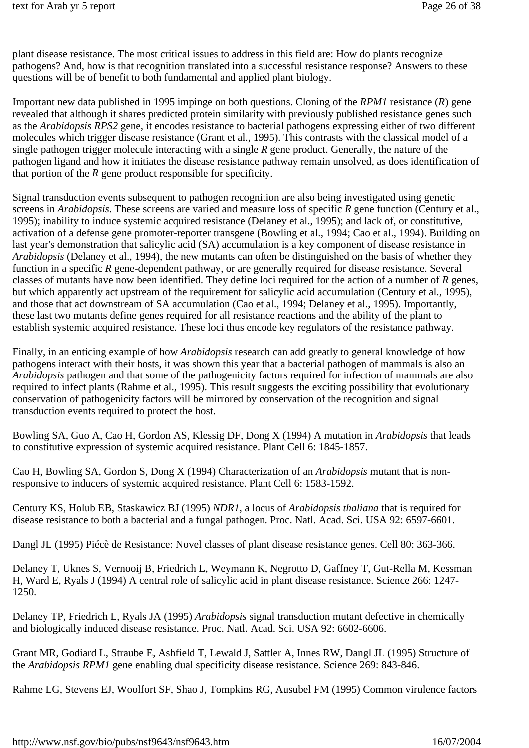plant disease resistance. The most critical issues to address in this field are: How do plants recognize pathogens? And, how is that recognition translated into a successful resistance response? Answers to these questions will be of benefit to both fundamental and applied plant biology.

Important new data published in 1995 impinge on both questions. Cloning of the *RPM1* resistance (*R*) gene revealed that although it shares predicted protein similarity with previously published resistance genes such as the *Arabidopsis RPS2* gene, it encodes resistance to bacterial pathogens expressing either of two different molecules which trigger disease resistance (Grant et al., 1995). This contrasts with the classical model of a single pathogen trigger molecule interacting with a single *R* gene product. Generally, the nature of the pathogen ligand and how it initiates the disease resistance pathway remain unsolved, as does identification of that portion of the *R* gene product responsible for specificity.

Signal transduction events subsequent to pathogen recognition are also being investigated using genetic screens in *Arabidopsis*. These screens are varied and measure loss of specific *R* gene function (Century et al., 1995); inability to induce systemic acquired resistance (Delaney et al., 1995); and lack of, or constitutive, activation of a defense gene promoter-reporter transgene (Bowling et al., 1994; Cao et al., 1994). Building on last year's demonstration that salicylic acid (SA) accumulation is a key component of disease resistance in *Arabidopsis* (Delaney et al., 1994), the new mutants can often be distinguished on the basis of whether they function in a specific *R* gene-dependent pathway, or are generally required for disease resistance. Several classes of mutants have now been identified. They define loci required for the action of a number of *R* genes, but which apparently act upstream of the requirement for salicylic acid accumulation (Century et al., 1995), and those that act downstream of SA accumulation (Cao et al., 1994; Delaney et al., 1995). Importantly, these last two mutants define genes required for all resistance reactions and the ability of the plant to establish systemic acquired resistance. These loci thus encode key regulators of the resistance pathway.

Finally, in an enticing example of how *Arabidopsis* research can add greatly to general knowledge of how pathogens interact with their hosts, it was shown this year that a bacterial pathogen of mammals is also an *Arabidopsis* pathogen and that some of the pathogenicity factors required for infection of mammals are also required to infect plants (Rahme et al., 1995). This result suggests the exciting possibility that evolutionary conservation of pathogenicity factors will be mirrored by conservation of the recognition and signal transduction events required to protect the host.

Bowling SA, Guo A, Cao H, Gordon AS, Klessig DF, Dong X (1994) A mutation in *Arabidopsis* that leads to constitutive expression of systemic acquired resistance. Plant Cell 6: 1845-1857.

Cao H, Bowling SA, Gordon S, Dong X (1994) Characterization of an *Arabidopsis* mutant that is nonresponsive to inducers of systemic acquired resistance. Plant Cell 6: 1583-1592.

Century KS, Holub EB, Staskawicz BJ (1995) *NDR1*, a locus of *Arabidopsis thaliana* that is required for disease resistance to both a bacterial and a fungal pathogen. Proc. Natl. Acad. Sci. USA 92: 6597-6601.

Dangl JL (1995) Piécè de Resistance: Novel classes of plant disease resistance genes. Cell 80: 363-366.

Delaney T, Uknes S, Vernooij B, Friedrich L, Weymann K, Negrotto D, Gaffney T, Gut-Rella M, Kessman H, Ward E, Ryals J (1994) A central role of salicylic acid in plant disease resistance. Science 266: 1247- 1250.

Delaney TP, Friedrich L, Ryals JA (1995) *Arabidopsis* signal transduction mutant defective in chemically and biologically induced disease resistance. Proc. Natl. Acad. Sci. USA 92: 6602-6606.

Grant MR, Godiard L, Straube E, Ashfield T, Lewald J, Sattler A, Innes RW, Dangl JL (1995) Structure of the *Arabidopsis RPM1* gene enabling dual specificity disease resistance. Science 269: 843-846.

Rahme LG, Stevens EJ, Woolfort SF, Shao J, Tompkins RG, Ausubel FM (1995) Common virulence factors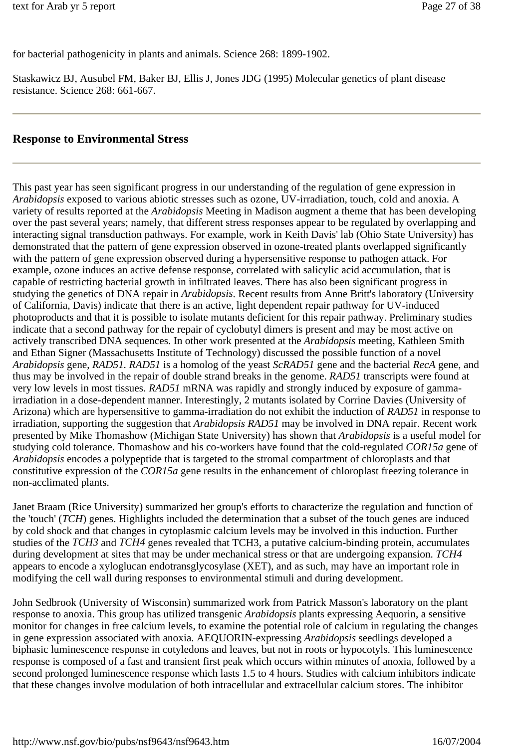for bacterial pathogenicity in plants and animals. Science 268: 1899-1902.

Staskawicz BJ, Ausubel FM, Baker BJ, Ellis J, Jones JDG (1995) Molecular genetics of plant disease resistance. Science 268: 661-667.

#### **Response to Environmental Stress**

This past year has seen significant progress in our understanding of the regulation of gene expression in *Arabidopsis* exposed to various abiotic stresses such as ozone, UV-irradiation, touch, cold and anoxia. A variety of results reported at the *Arabidopsis* Meeting in Madison augment a theme that has been developing over the past several years; namely, that different stress responses appear to be regulated by overlapping and interacting signal transduction pathways. For example, work in Keith Davis' lab (Ohio State University) has demonstrated that the pattern of gene expression observed in ozone-treated plants overlapped significantly with the pattern of gene expression observed during a hypersensitive response to pathogen attack. For example, ozone induces an active defense response, correlated with salicylic acid accumulation, that is capable of restricting bacterial growth in infiltrated leaves. There has also been significant progress in studying the genetics of DNA repair in *Arabidopsis*. Recent results from Anne Britt's laboratory (University of California, Davis) indicate that there is an active, light dependent repair pathway for UV-induced photoproducts and that it is possible to isolate mutants deficient for this repair pathway. Preliminary studies indicate that a second pathway for the repair of cyclobutyl dimers is present and may be most active on actively transcribed DNA sequences. In other work presented at the *Arabidopsis* meeting, Kathleen Smith and Ethan Signer (Massachusetts Institute of Technology) discussed the possible function of a novel *Arabidopsis* gene, *RAD51. RAD51* is a homolog of the yeast *ScRAD51* gene and the bacterial *RecA* gene, and thus may be involved in the repair of double strand breaks in the genome. *RAD51* transcripts were found at very low levels in most tissues. *RAD51* mRNA was rapidly and strongly induced by exposure of gammairradiation in a dose-dependent manner. Interestingly, 2 mutants isolated by Corrine Davies (University of Arizona) which are hypersensitive to gamma-irradiation do not exhibit the induction of *RAD51* in response to irradiation, supporting the suggestion that *Arabidopsis RAD51* may be involved in DNA repair. Recent work presented by Mike Thomashow (Michigan State University) has shown that *Arabidopsis* is a useful model for studying cold tolerance. Thomashow and his co-workers have found that the cold-regulated *COR15a* gene of *Arabidopsis* encodes a polypeptide that is targeted to the stromal compartment of chloroplasts and that constitutive expression of the *COR15a* gene results in the enhancement of chloroplast freezing tolerance in non-acclimated plants.

Janet Braam (Rice University) summarized her group's efforts to characterize the regulation and function of the 'touch' (*TCH*) genes. Highlights included the determination that a subset of the touch genes are induced by cold shock and that changes in cytoplasmic calcium levels may be involved in this induction. Further studies of the *TCH3* and *TCH4* genes revealed that TCH3, a putative calcium-binding protein, accumulates during development at sites that may be under mechanical stress or that are undergoing expansion. *TCH4* appears to encode a xyloglucan endotransglycosylase (XET), and as such, may have an important role in modifying the cell wall during responses to environmental stimuli and during development.

John Sedbrook (University of Wisconsin) summarized work from Patrick Masson's laboratory on the plant response to anoxia. This group has utilized transgenic *Arabidopsis* plants expressing Aequorin, a sensitive monitor for changes in free calcium levels, to examine the potential role of calcium in regulating the changes in gene expression associated with anoxia. AEQUORIN-expressing *Arabidopsis* seedlings developed a biphasic luminescence response in cotyledons and leaves, but not in roots or hypocotyls. This luminescence response is composed of a fast and transient first peak which occurs within minutes of anoxia, followed by a second prolonged luminescence response which lasts 1.5 to 4 hours. Studies with calcium inhibitors indicate that these changes involve modulation of both intracellular and extracellular calcium stores. The inhibitor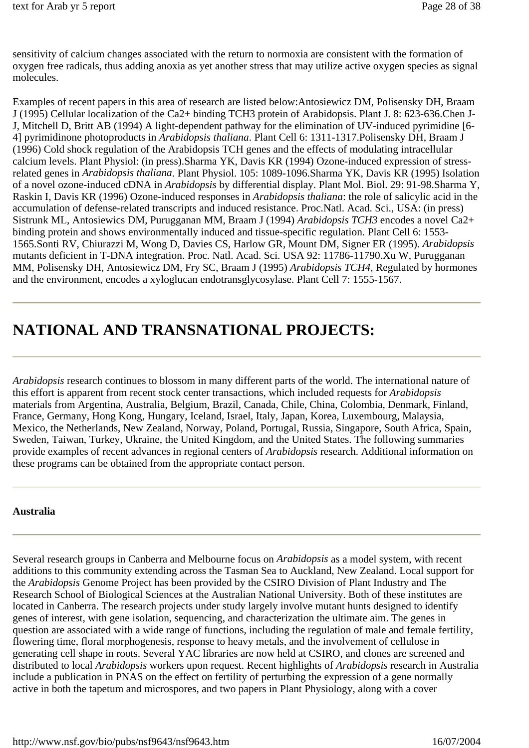sensitivity of calcium changes associated with the return to normoxia are consistent with the formation of oxygen free radicals, thus adding anoxia as yet another stress that may utilize active oxygen species as signal molecules.

Examples of recent papers in this area of research are listed below:Antosiewicz DM, Polisensky DH, Braam J (1995) Cellular localization of the Ca2+ binding TCH3 protein of Arabidopsis. Plant J. 8: 623-636.Chen J-J, Mitchell D, Britt AB (1994) A light-dependent pathway for the elimination of UV-induced pyrimidine [6- 4] pyrimidinone photoproducts in *Arabidopsis thaliana*. Plant Cell 6: 1311-1317.Polisensky DH, Braam J (1996) Cold shock regulation of the Arabidopsis TCH genes and the effects of modulating intracellular calcium levels. Plant Physiol: (in press).Sharma YK, Davis KR (1994) Ozone-induced expression of stressrelated genes in *Arabidopsis thaliana*. Plant Physiol. 105: 1089-1096.Sharma YK, Davis KR (1995) Isolation of a novel ozone-induced cDNA in *Arabidopsis* by differential display. Plant Mol. Biol. 29: 91-98.Sharma Y, Raskin I, Davis KR (1996) Ozone-induced responses in *Arabidopsis thaliana*: the role of salicylic acid in the accumulation of defense-related transcripts and induced resistance. Proc.Natl. Acad. Sci., USA: (in press) Sistrunk ML, Antosiewics DM, Purugganan MM, Braam J (1994) *Arabidopsis TCH3* encodes a novel Ca2+ binding protein and shows environmentally induced and tissue-specific regulation. Plant Cell 6: 1553- 1565.Sonti RV, Chiurazzi M, Wong D, Davies CS, Harlow GR, Mount DM, Signer ER (1995). *Arabidopsis* mutants deficient in T-DNA integration. Proc. Natl. Acad. Sci. USA 92: 11786-11790.Xu W, Purugganan MM, Polisensky DH, Antosiewicz DM, Fry SC, Braam J (1995) *Arabidopsis TCH4*, Regulated by hormones and the environment, encodes a xyloglucan endotransglycosylase. Plant Cell 7: 1555-1567.

# **NATIONAL AND TRANSNATIONAL PROJECTS:**

*Arabidopsis* research continues to blossom in many different parts of the world. The international nature of this effort is apparent from recent stock center transactions, which included requests for *Arabidopsis* materials from Argentina, Australia, Belgium, Brazil, Canada, Chile, China, Colombia, Denmark, Finland, France, Germany, Hong Kong, Hungary, Iceland, Israel, Italy, Japan, Korea, Luxembourg, Malaysia, Mexico, the Netherlands, New Zealand, Norway, Poland, Portugal, Russia, Singapore, South Africa, Spain, Sweden, Taiwan, Turkey, Ukraine, the United Kingdom, and the United States. The following summaries provide examples of recent advances in regional centers of *Arabidopsis* research. Additional information on these programs can be obtained from the appropriate contact person.

#### **Australia**

Several research groups in Canberra and Melbourne focus on *Arabidopsis* as a model system, with recent additions to this community extending across the Tasman Sea to Auckland, New Zealand. Local support for the *Arabidopsis* Genome Project has been provided by the CSIRO Division of Plant Industry and The Research School of Biological Sciences at the Australian National University. Both of these institutes are located in Canberra. The research projects under study largely involve mutant hunts designed to identify genes of interest, with gene isolation, sequencing, and characterization the ultimate aim. The genes in question are associated with a wide range of functions, including the regulation of male and female fertility, flowering time, floral morphogenesis, response to heavy metals, and the involvement of cellulose in generating cell shape in roots. Several YAC libraries are now held at CSIRO, and clones are screened and distributed to local *Arabidopsis* workers upon request. Recent highlights of *Arabidopsis* research in Australia include a publication in PNAS on the effect on fertility of perturbing the expression of a gene normally active in both the tapetum and microspores, and two papers in Plant Physiology, along with a cover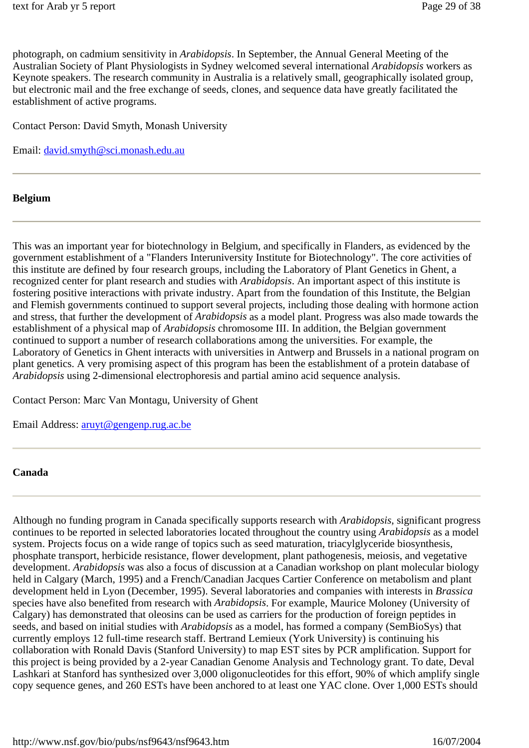photograph, on cadmium sensitivity in *Arabidopsis*. In September, the Annual General Meeting of the Australian Society of Plant Physiologists in Sydney welcomed several international *Arabidopsis* workers as Keynote speakers. The research community in Australia is a relatively small, geographically isolated group, but electronic mail and the free exchange of seeds, clones, and sequence data have greatly facilitated the establishment of active programs.

Contact Person: David Smyth, Monash University

Email: david.smyth@sci.monash.edu.au

#### **Belgium**

This was an important year for biotechnology in Belgium, and specifically in Flanders, as evidenced by the government establishment of a "Flanders Interuniversity Institute for Biotechnology". The core activities of this institute are defined by four research groups, including the Laboratory of Plant Genetics in Ghent, a recognized center for plant research and studies with *Arabidopsis*. An important aspect of this institute is fostering positive interactions with private industry. Apart from the foundation of this Institute, the Belgian and Flemish governments continued to support several projects, including those dealing with hormone action and stress, that further the development of *Arabidopsis* as a model plant. Progress was also made towards the establishment of a physical map of *Arabidopsis* chromosome III. In addition, the Belgian government continued to support a number of research collaborations among the universities. For example, the Laboratory of Genetics in Ghent interacts with universities in Antwerp and Brussels in a national program on plant genetics. A very promising aspect of this program has been the establishment of a protein database of *Arabidopsis* using 2-dimensional electrophoresis and partial amino acid sequence analysis.

Contact Person: Marc Van Montagu, University of Ghent

Email Address: aruyt@gengenp.rug.ac.be

#### **Canada**

Although no funding program in Canada specifically supports research with *Arabidopsis*, significant progress continues to be reported in selected laboratories located throughout the country using *Arabidopsis* as a model system. Projects focus on a wide range of topics such as seed maturation, triacylglyceride biosynthesis, phosphate transport, herbicide resistance, flower development, plant pathogenesis, meiosis, and vegetative development. *Arabidopsis* was also a focus of discussion at a Canadian workshop on plant molecular biology held in Calgary (March, 1995) and a French/Canadian Jacques Cartier Conference on metabolism and plant development held in Lyon (December, 1995). Several laboratories and companies with interests in *Brassica* species have also benefited from research with *Arabidopsis*. For example, Maurice Moloney (University of Calgary) has demonstrated that oleosins can be used as carriers for the production of foreign peptides in seeds, and based on initial studies with *Arabidopsis* as a model, has formed a company (SemBioSys) that currently employs 12 full-time research staff. Bertrand Lemieux (York University) is continuing his collaboration with Ronald Davis (Stanford University) to map EST sites by PCR amplification. Support for this project is being provided by a 2-year Canadian Genome Analysis and Technology grant. To date, Deval Lashkari at Stanford has synthesized over 3,000 oligonucleotides for this effort, 90% of which amplify single copy sequence genes, and 260 ESTs have been anchored to at least one YAC clone. Over 1,000 ESTs should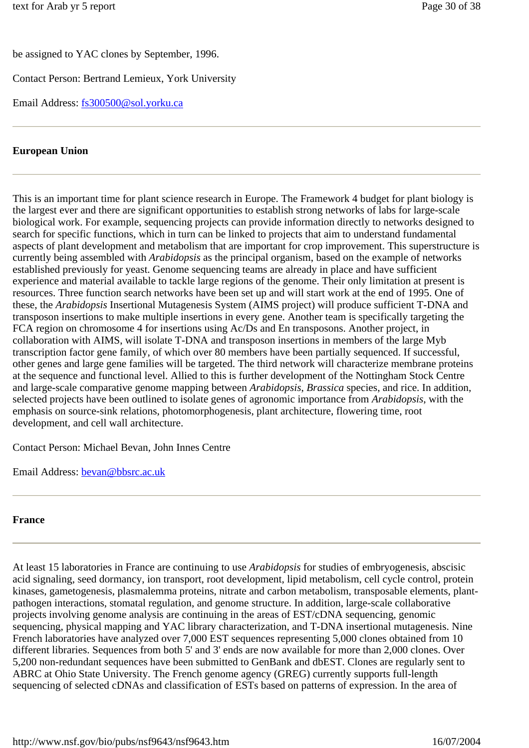be assigned to YAC clones by September, 1996.

Contact Person: Bertrand Lemieux, York University

Email Address: fs300500@sol.yorku.ca

#### **European Union**

This is an important time for plant science research in Europe. The Framework 4 budget for plant biology is the largest ever and there are significant opportunities to establish strong networks of labs for large-scale biological work. For example, sequencing projects can provide information directly to networks designed to search for specific functions, which in turn can be linked to projects that aim to understand fundamental aspects of plant development and metabolism that are important for crop improvement. This superstructure is currently being assembled with *Arabidopsis* as the principal organism, based on the example of networks established previously for yeast. Genome sequencing teams are already in place and have sufficient experience and material available to tackle large regions of the genome. Their only limitation at present is resources. Three function search networks have been set up and will start work at the end of 1995. One of these, the *Arabidopsis* Insertional Mutagenesis System (AIMS project) will produce sufficient T-DNA and transposon insertions to make multiple insertions in every gene. Another team is specifically targeting the FCA region on chromosome 4 for insertions using Ac/Ds and En transposons. Another project, in collaboration with AIMS, will isolate T-DNA and transposon insertions in members of the large Myb transcription factor gene family, of which over 80 members have been partially sequenced. If successful, other genes and large gene families will be targeted. The third network will characterize membrane proteins at the sequence and functional level. Allied to this is further development of the Nottingham Stock Centre and large-scale comparative genome mapping between *Arabidopsis*, *Brassica* species, and rice. In addition, selected projects have been outlined to isolate genes of agronomic importance from *Arabidopsis*, with the emphasis on source-sink relations, photomorphogenesis, plant architecture, flowering time, root development, and cell wall architecture.

Contact Person: Michael Bevan, John Innes Centre

Email Address: bevan@bbsrc.ac.uk

#### **France**

At least 15 laboratories in France are continuing to use *Arabidopsis* for studies of embryogenesis, abscisic acid signaling, seed dormancy, ion transport, root development, lipid metabolism, cell cycle control, protein kinases, gametogenesis, plasmalemma proteins, nitrate and carbon metabolism, transposable elements, plantpathogen interactions, stomatal regulation, and genome structure. In addition, large-scale collaborative projects involving genome analysis are continuing in the areas of EST/cDNA sequencing, genomic sequencing, physical mapping and YAC library characterization, and T-DNA insertional mutagenesis. Nine French laboratories have analyzed over 7,000 EST sequences representing 5,000 clones obtained from 10 different libraries. Sequences from both 5' and 3' ends are now available for more than 2,000 clones. Over 5,200 non-redundant sequences have been submitted to GenBank and dbEST. Clones are regularly sent to ABRC at Ohio State University. The French genome agency (GREG) currently supports full-length sequencing of selected cDNAs and classification of ESTs based on patterns of expression. In the area of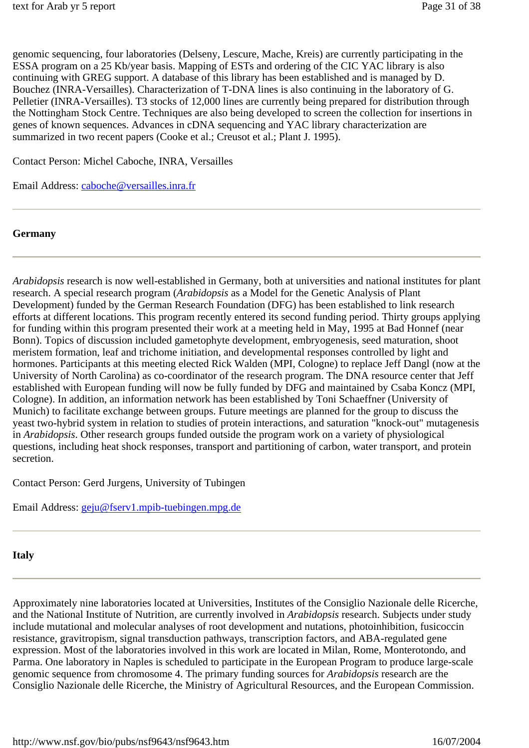genomic sequencing, four laboratories (Delseny, Lescure, Mache, Kreis) are currently participating in the ESSA program on a 25 Kb/year basis. Mapping of ESTs and ordering of the CIC YAC library is also continuing with GREG support. A database of this library has been established and is managed by D. Bouchez (INRA-Versailles). Characterization of T-DNA lines is also continuing in the laboratory of G. Pelletier (INRA-Versailles). T3 stocks of 12,000 lines are currently being prepared for distribution through the Nottingham Stock Centre. Techniques are also being developed to screen the collection for insertions in genes of known sequences. Advances in cDNA sequencing and YAC library characterization are summarized in two recent papers (Cooke et al.; Creusot et al.; Plant J. 1995).

Contact Person: Michel Caboche, INRA, Versailles

Email Address: caboche@versailles.inra.fr

#### **Germany**

*Arabidopsis* research is now well-established in Germany, both at universities and national institutes for plant research. A special research program (*Arabidopsis* as a Model for the Genetic Analysis of Plant Development) funded by the German Research Foundation (DFG) has been established to link research efforts at different locations. This program recently entered its second funding period. Thirty groups applying for funding within this program presented their work at a meeting held in May, 1995 at Bad Honnef (near Bonn). Topics of discussion included gametophyte development, embryogenesis, seed maturation, shoot meristem formation, leaf and trichome initiation, and developmental responses controlled by light and hormones. Participants at this meeting elected Rick Walden (MPI, Cologne) to replace Jeff Dangl (now at the University of North Carolina) as co-coordinator of the research program. The DNA resource center that Jeff established with European funding will now be fully funded by DFG and maintained by Csaba Koncz (MPI, Cologne). In addition, an information network has been established by Toni Schaeffner (University of Munich) to facilitate exchange between groups. Future meetings are planned for the group to discuss the yeast two-hybrid system in relation to studies of protein interactions, and saturation "knock-out" mutagenesis in *Arabidopsis*. Other research groups funded outside the program work on a variety of physiological questions, including heat shock responses, transport and partitioning of carbon, water transport, and protein secretion.

Contact Person: Gerd Jurgens, University of Tubingen

Email Address: geju@fserv1.mpib-tuebingen.mpg.de

#### **Italy**

Approximately nine laboratories located at Universities, Institutes of the Consiglio Nazionale delle Ricerche, and the National Institute of Nutrition, are currently involved in *Arabidopsis* research. Subjects under study include mutational and molecular analyses of root development and nutations, photoinhibition, fusicoccin resistance, gravitropism, signal transduction pathways, transcription factors, and ABA-regulated gene expression. Most of the laboratories involved in this work are located in Milan, Rome, Monterotondo, and Parma. One laboratory in Naples is scheduled to participate in the European Program to produce large-scale genomic sequence from chromosome 4. The primary funding sources for *Arabidopsis* research are the Consiglio Nazionale delle Ricerche, the Ministry of Agricultural Resources, and the European Commission.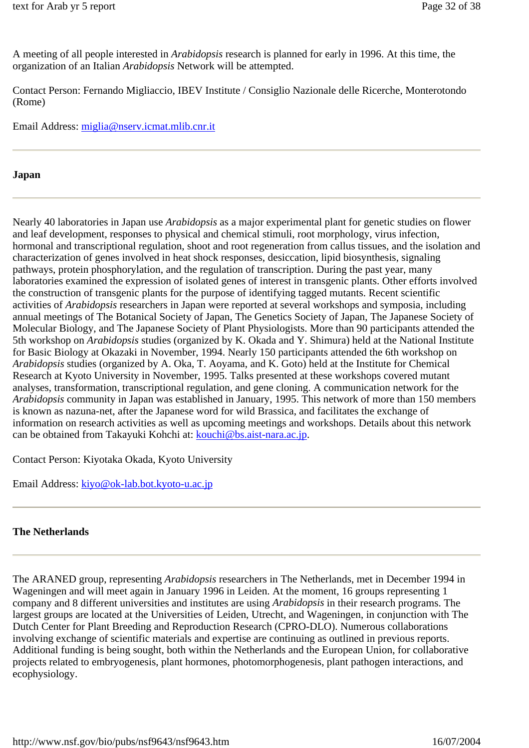A meeting of all people interested in *Arabidopsis* research is planned for early in 1996. At this time, the organization of an Italian *Arabidopsis* Network will be attempted.

Contact Person: Fernando Migliaccio, IBEV Institute / Consiglio Nazionale delle Ricerche, Monterotondo (Rome)

Email Address: miglia@nserv.icmat.mlib.cnr.it

#### **Japan**

Nearly 40 laboratories in Japan use *Arabidopsis* as a major experimental plant for genetic studies on flower and leaf development, responses to physical and chemical stimuli, root morphology, virus infection, hormonal and transcriptional regulation, shoot and root regeneration from callus tissues, and the isolation and characterization of genes involved in heat shock responses, desiccation, lipid biosynthesis, signaling pathways, protein phosphorylation, and the regulation of transcription. During the past year, many laboratories examined the expression of isolated genes of interest in transgenic plants. Other efforts involved the construction of transgenic plants for the purpose of identifying tagged mutants. Recent scientific activities of *Arabidopsis* researchers in Japan were reported at several workshops and symposia, including annual meetings of The Botanical Society of Japan, The Genetics Society of Japan, The Japanese Society of Molecular Biology, and The Japanese Society of Plant Physiologists. More than 90 participants attended the 5th workshop on *Arabidopsis* studies (organized by K. Okada and Y. Shimura) held at the National Institute for Basic Biology at Okazaki in November, 1994. Nearly 150 participants attended the 6th workshop on *Arabidopsis* studies (organized by A. Oka, T. Aoyama, and K. Goto) held at the Institute for Chemical Research at Kyoto University in November, 1995. Talks presented at these workshops covered mutant analyses, transformation, transcriptional regulation, and gene cloning. A communication network for the *Arabidopsis* community in Japan was established in January, 1995. This network of more than 150 members is known as nazuna-net, after the Japanese word for wild Brassica, and facilitates the exchange of information on research activities as well as upcoming meetings and workshops. Details about this network can be obtained from Takayuki Kohchi at: kouchi@bs.aist-nara.ac.jp.

Contact Person: Kiyotaka Okada, Kyoto University

Email Address: kiyo@ok-lab.bot.kyoto-u.ac.jp

#### **The Netherlands**

The ARANED group, representing *Arabidopsis* researchers in The Netherlands, met in December 1994 in Wageningen and will meet again in January 1996 in Leiden. At the moment, 16 groups representing 1 company and 8 different universities and institutes are using *Arabidopsis* in their research programs. The largest groups are located at the Universities of Leiden, Utrecht, and Wageningen, in conjunction with The Dutch Center for Plant Breeding and Reproduction Research (CPRO-DLO). Numerous collaborations involving exchange of scientific materials and expertise are continuing as outlined in previous reports. Additional funding is being sought, both within the Netherlands and the European Union, for collaborative projects related to embryogenesis, plant hormones, photomorphogenesis, plant pathogen interactions, and ecophysiology.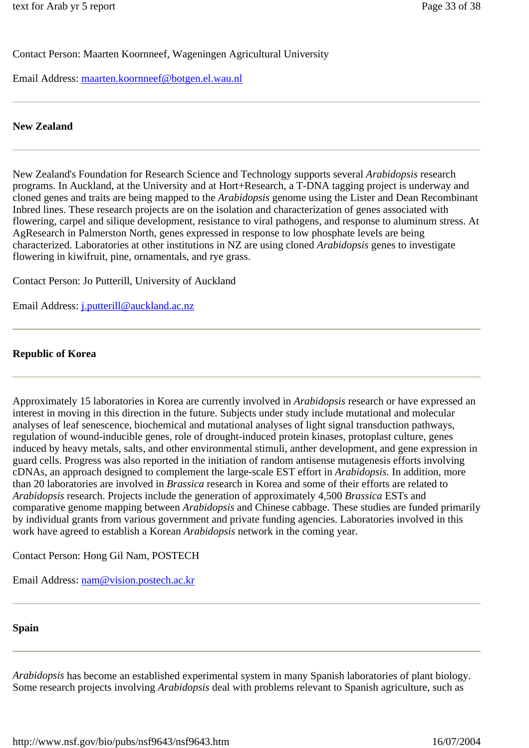Contact Person: Maarten Koornneef, Wageningen Agricultural University

Email Address: maarten.koornneef@botgen.el.wau.nl

#### **New Zealand**

New Zealand's Foundation for Research Science and Technology supports several *Arabidopsis* research programs. In Auckland, at the University and at Hort+Research, a T-DNA tagging project is underway and cloned genes and traits are being mapped to the *Arabidopsis* genome using the Lister and Dean Recombinant Inbred lines. These research projects are on the isolation and characterization of genes associated with flowering, carpel and silique development, resistance to viral pathogens, and response to aluminum stress. At AgResearch in Palmerston North, genes expressed in response to low phosphate levels are being characterized. Laboratories at other institutions in NZ are using cloned *Arabidopsis* genes to investigate flowering in kiwifruit, pine, ornamentals, and rye grass.

Contact Person: Jo Putterill, University of Auckland

Email Address: j.putterill@auckland.ac.nz

#### **Republic of Korea**

Approximately 15 laboratories in Korea are currently involved in *Arabidopsis* research or have expressed an interest in moving in this direction in the future. Subjects under study include mutational and molecular analyses of leaf senescence, biochemical and mutational analyses of light signal transduction pathways, regulation of wound-inducible genes, role of drought-induced protein kinases, protoplast culture, genes induced by heavy metals, salts, and other environmental stimuli, anther development, and gene expression in guard cells. Progress was also reported in the initiation of random antisense mutagenesis efforts involving cDNAs, an approach designed to complement the large-scale EST effort in *Arabidopsis*. In addition, more than 20 laboratories are involved in *Brassica* research in Korea and some of their efforts are related to *Arabidopsis* research. Projects include the generation of approximately 4,500 *Brassica* ESTs and comparative genome mapping between *Arabidopsis* and Chinese cabbage. These studies are funded primarily by individual grants from various government and private funding agencies. Laboratories involved in this work have agreed to establish a Korean *Arabidopsis* network in the coming year.

Contact Person: Hong Gil Nam, POSTECH

Email Address: nam@vision.postech.ac.kr

#### **Spain**

*Arabidopsis* has become an established experimental system in many Spanish laboratories of plant biology. Some research projects involving *Arabidopsis* deal with problems relevant to Spanish agriculture, such as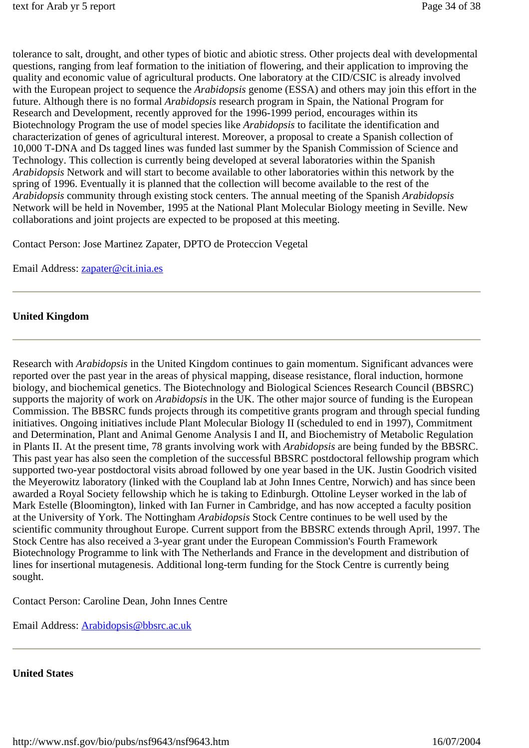tolerance to salt, drought, and other types of biotic and abiotic stress. Other projects deal with developmental questions, ranging from leaf formation to the initiation of flowering, and their application to improving the quality and economic value of agricultural products. One laboratory at the CID/CSIC is already involved with the European project to sequence the *Arabidopsis* genome (ESSA) and others may join this effort in the future. Although there is no formal *Arabidopsis* research program in Spain, the National Program for Research and Development, recently approved for the 1996-1999 period, encourages within its Biotechnology Program the use of model species like *Arabidopsis* to facilitate the identification and characterization of genes of agricultural interest. Moreover, a proposal to create a Spanish collection of 10,000 T-DNA and Ds tagged lines was funded last summer by the Spanish Commission of Science and Technology. This collection is currently being developed at several laboratories within the Spanish *Arabidopsis* Network and will start to become available to other laboratories within this network by the spring of 1996. Eventually it is planned that the collection will become available to the rest of the *Arabidopsis* community through existing stock centers. The annual meeting of the Spanish *Arabidopsis* Network will be held in November, 1995 at the National Plant Molecular Biology meeting in Seville. New collaborations and joint projects are expected to be proposed at this meeting.

Contact Person: Jose Martinez Zapater, DPTO de Proteccion Vegetal

Email Address: zapater@cit.inia.es

#### **United Kingdom**

Research with *Arabidopsis* in the United Kingdom continues to gain momentum. Significant advances were reported over the past year in the areas of physical mapping, disease resistance, floral induction, hormone biology, and biochemical genetics. The Biotechnology and Biological Sciences Research Council (BBSRC) supports the majority of work on *Arabidopsis* in the UK. The other major source of funding is the European Commission. The BBSRC funds projects through its competitive grants program and through special funding initiatives. Ongoing initiatives include Plant Molecular Biology II (scheduled to end in 1997), Commitment and Determination, Plant and Animal Genome Analysis I and II, and Biochemistry of Metabolic Regulation in Plants II. At the present time, 78 grants involving work with *Arabidopsis* are being funded by the BBSRC. This past year has also seen the completion of the successful BBSRC postdoctoral fellowship program which supported two-year postdoctoral visits abroad followed by one year based in the UK. Justin Goodrich visited the Meyerowitz laboratory (linked with the Coupland lab at John Innes Centre, Norwich) and has since been awarded a Royal Society fellowship which he is taking to Edinburgh. Ottoline Leyser worked in the lab of Mark Estelle (Bloomington), linked with Ian Furner in Cambridge, and has now accepted a faculty position at the University of York. The Nottingham *Arabidopsis* Stock Centre continues to be well used by the scientific community throughout Europe. Current support from the BBSRC extends through April, 1997. The Stock Centre has also received a 3-year grant under the European Commission's Fourth Framework Biotechnology Programme to link with The Netherlands and France in the development and distribution of lines for insertional mutagenesis. Additional long-term funding for the Stock Centre is currently being sought.

Contact Person: Caroline Dean, John Innes Centre

Email Address: Arabidopsis@bbsrc.ac.uk

#### **United States**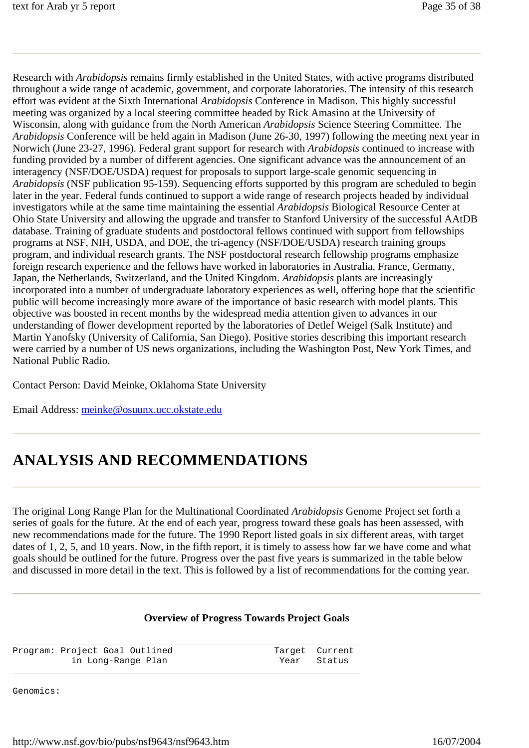Research with *Arabidopsis* remains firmly established in the United States, with active programs distributed throughout a wide range of academic, government, and corporate laboratories. The intensity of this research effort was evident at the Sixth International *Arabidopsis* Conference in Madison. This highly successful meeting was organized by a local steering committee headed by Rick Amasino at the University of Wisconsin, along with guidance from the North American *Arabidopsis* Science Steering Committee. The *Arabidopsis* Conference will be held again in Madison (June 26-30, 1997) following the meeting next year in Norwich (June 23-27, 1996). Federal grant support for research with *Arabidopsis* continued to increase with funding provided by a number of different agencies. One significant advance was the announcement of an interagency (NSF/DOE/USDA) request for proposals to support large-scale genomic sequencing in *Arabidopsis* (NSF publication 95-159). Sequencing efforts supported by this program are scheduled to begin later in the year. Federal funds continued to support a wide range of research projects headed by individual investigators while at the same time maintaining the essential *Arabidopsis* Biological Resource Center at Ohio State University and allowing the upgrade and transfer to Stanford University of the successful AAtDB database. Training of graduate students and postdoctoral fellows continued with support from fellowships programs at NSF, NIH, USDA, and DOE, the tri-agency (NSF/DOE/USDA) research training groups program, and individual research grants. The NSF postdoctoral research fellowship programs emphasize foreign research experience and the fellows have worked in laboratories in Australia, France, Germany, Japan, the Netherlands, Switzerland, and the United Kingdom. *Arabidopsis* plants are increasingly incorporated into a number of undergraduate laboratory experiences as well, offering hope that the scientific public will become increasingly more aware of the importance of basic research with model plants. This objective was boosted in recent months by the widespread media attention given to advances in our understanding of flower development reported by the laboratories of Detlef Weigel (Salk Institute) and Martin Yanofsky (University of California, San Diego). Positive stories describing this important research were carried by a number of US news organizations, including the Washington Post, New York Times, and National Public Radio.

Contact Person: David Meinke, Oklahoma State University

Email Address: meinke@osuunx.ucc.okstate.edu

# **ANALYSIS AND RECOMMENDATIONS**

The original Long Range Plan for the Multinational Coordinated *Arabidopsis* Genome Project set forth a series of goals for the future. At the end of each year, progress toward these goals has been assessed, with new recommendations made for the future. The 1990 Report listed goals in six different areas, with target dates of 1, 2, 5, and 10 years. Now, in the fifth report, it is timely to assess how far we have come and what goals should be outlined for the future. Progress over the past five years is summarized in the table below and discussed in more detail in the text. This is followed by a list of recommendations for the coming year.

# **Overview of Progress Towards Project Goals**

\_\_\_\_\_\_\_\_\_\_\_\_\_\_\_\_\_\_\_\_\_\_\_\_\_\_\_\_\_\_\_\_\_\_\_\_\_\_\_\_\_\_\_\_\_\_\_\_\_\_\_\_\_\_\_\_\_\_\_\_\_\_\_\_\_ Program: Project Goal Outlined Target Current in Long-Range Plan Year Status \_\_\_\_\_\_\_\_\_\_\_\_\_\_\_\_\_\_\_\_\_\_\_\_\_\_\_\_\_\_\_\_\_\_\_\_\_\_\_\_\_\_\_\_\_\_\_\_\_\_\_\_\_\_\_\_\_\_\_\_\_\_\_\_\_

Genomics: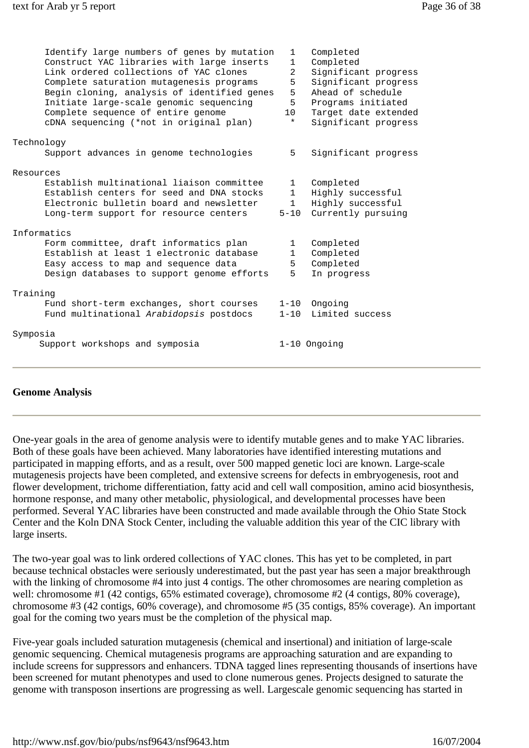| 1               | Completed            |
|-----------------|----------------------|
| $\mathbf{1}$    | Completed            |
| $\overline{2}$  | Significant progress |
| 5               | Significant progress |
| 5               | Ahead of schedule    |
| 5               | Programs initiated   |
| 10 <sub>1</sub> | Target date extended |
| $^\star$        | Significant progress |
|                 |                      |
| 5               | Significant progress |
|                 |                      |
| $\mathbf{1}$    | Completed            |
| $\mathbf{1}$    | Highly successful    |
| $\mathbf{1}$    | Highly successful    |
| $5 - 10$        | Currently pursuing   |
|                 |                      |
| $\mathbf{1}$    | Completed            |
| $\mathbf{1}$    | Completed            |
|                 | Completed            |
|                 | In progress          |
|                 |                      |
| $1 - 10$        | Ongoing              |
| $1 - 10$        | Limited success      |
|                 |                      |
|                 | 1-10 Ongoing         |
|                 | 5<br>5               |

#### **Genome Analysis**

One-year goals in the area of genome analysis were to identify mutable genes and to make YAC libraries. Both of these goals have been achieved. Many laboratories have identified interesting mutations and participated in mapping efforts, and as a result, over 500 mapped genetic loci are known. Large-scale mutagenesis projects have been completed, and extensive screens for defects in embryogenesis, root and flower development, trichome differentiation, fatty acid and cell wall composition, amino acid biosynthesis, hormone response, and many other metabolic, physiological, and developmental processes have been performed. Several YAC libraries have been constructed and made available through the Ohio State Stock Center and the Koln DNA Stock Center, including the valuable addition this year of the CIC library with large inserts.

The two-year goal was to link ordered collections of YAC clones. This has yet to be completed, in part because technical obstacles were seriously underestimated, but the past year has seen a major breakthrough with the linking of chromosome #4 into just 4 contigs. The other chromosomes are nearing completion as well: chromosome #1 (42 contigs, 65% estimated coverage), chromosome #2 (4 contigs, 80% coverage), chromosome #3 (42 contigs, 60% coverage), and chromosome #5 (35 contigs, 85% coverage). An important goal for the coming two years must be the completion of the physical map.

Five-year goals included saturation mutagenesis (chemical and insertional) and initiation of large-scale genomic sequencing. Chemical mutagenesis programs are approaching saturation and are expanding to include screens for suppressors and enhancers. TDNA tagged lines representing thousands of insertions have been screened for mutant phenotypes and used to clone numerous genes. Projects designed to saturate the genome with transposon insertions are progressing as well. Largescale genomic sequencing has started in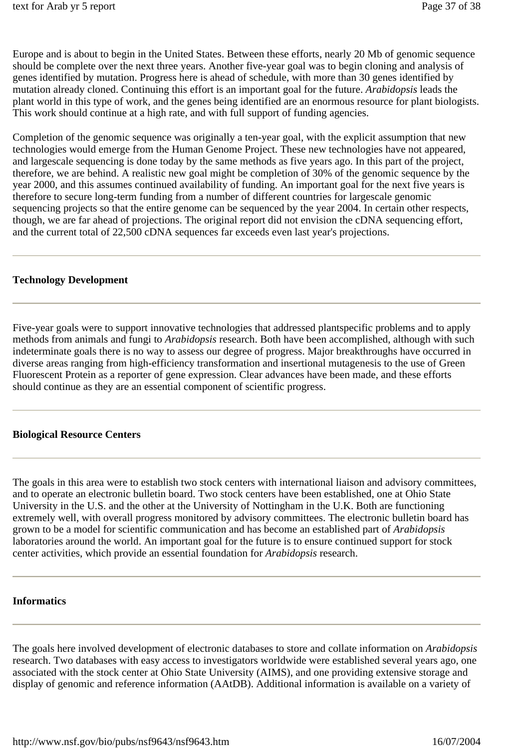Europe and is about to begin in the United States. Between these efforts, nearly 20 Mb of genomic sequence should be complete over the next three years. Another five-year goal was to begin cloning and analysis of genes identified by mutation. Progress here is ahead of schedule, with more than 30 genes identified by mutation already cloned. Continuing this effort is an important goal for the future. *Arabidopsis* leads the plant world in this type of work, and the genes being identified are an enormous resource for plant biologists. This work should continue at a high rate, and with full support of funding agencies.

Completion of the genomic sequence was originally a ten-year goal, with the explicit assumption that new technologies would emerge from the Human Genome Project. These new technologies have not appeared, and largescale sequencing is done today by the same methods as five years ago. In this part of the project, therefore, we are behind. A realistic new goal might be completion of 30% of the genomic sequence by the year 2000, and this assumes continued availability of funding. An important goal for the next five years is therefore to secure long-term funding from a number of different countries for largescale genomic sequencing projects so that the entire genome can be sequenced by the year 2004. In certain other respects, though, we are far ahead of projections. The original report did not envision the cDNA sequencing effort, and the current total of 22,500 cDNA sequences far exceeds even last year's projections.

#### **Technology Development**

Five-year goals were to support innovative technologies that addressed plantspecific problems and to apply methods from animals and fungi to *Arabidopsis* research. Both have been accomplished, although with such indeterminate goals there is no way to assess our degree of progress. Major breakthroughs have occurred in diverse areas ranging from high-efficiency transformation and insertional mutagenesis to the use of Green Fluorescent Protein as a reporter of gene expression. Clear advances have been made, and these efforts should continue as they are an essential component of scientific progress.

### **Biological Resource Centers**

The goals in this area were to establish two stock centers with international liaison and advisory committees, and to operate an electronic bulletin board. Two stock centers have been established, one at Ohio State University in the U.S. and the other at the University of Nottingham in the U.K. Both are functioning extremely well, with overall progress monitored by advisory committees. The electronic bulletin board has grown to be a model for scientific communication and has become an established part of *Arabidopsis* laboratories around the world. An important goal for the future is to ensure continued support for stock center activities, which provide an essential foundation for *Arabidopsis* research.

#### **Informatics**

The goals here involved development of electronic databases to store and collate information on *Arabidopsis* research. Two databases with easy access to investigators worldwide were established several years ago, one associated with the stock center at Ohio State University (AIMS), and one providing extensive storage and display of genomic and reference information (AAtDB). Additional information is available on a variety of